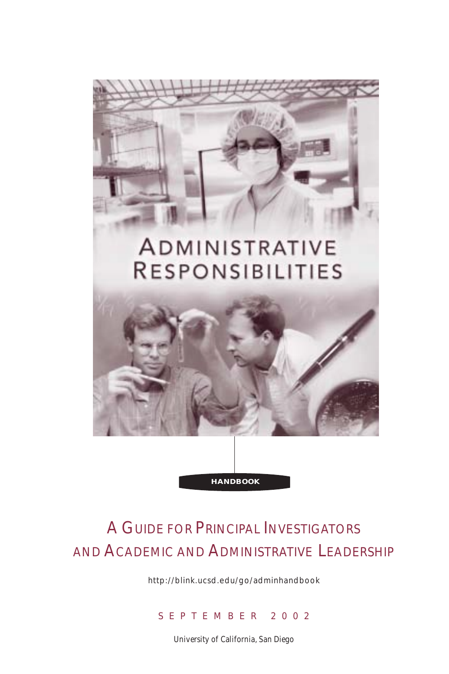

# A GUIDE FOR PRINCIPAL INVESTIGATORS AND ACADEMIC AND ADMINISTRATIVE LEADERSHIP

http://blink.ucsd.edu/go/adminhandbook

### SEPTEMBER 2002

University of California, San Diego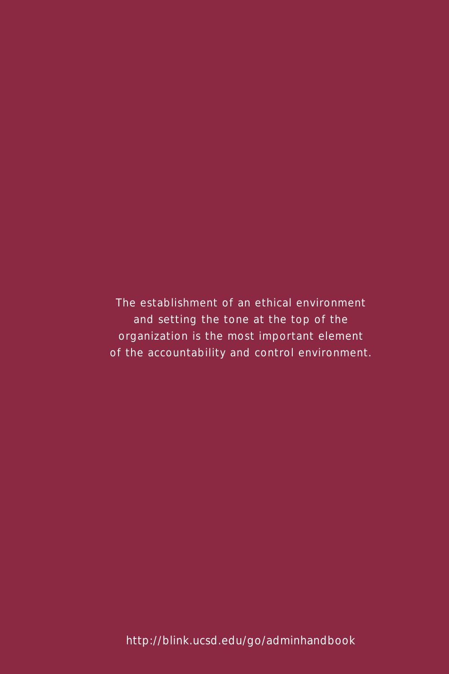*The establishment of an ethical environment and setting the tone at the top of the organization is the most important element of the accountability and control environment.*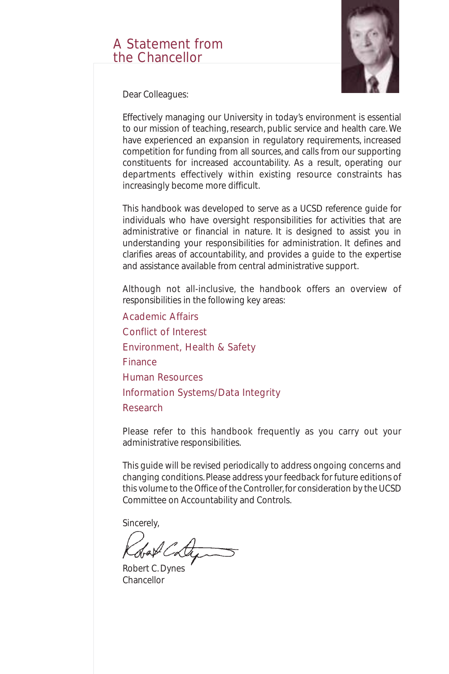### A Statement from the Chancellor



Dear Colleagues:

Effectively managing our University in today's environment is essential to our mission of teaching, research, public service and health care. We have experienced an expansion in regulatory requirements, increased competition for funding from all sources, and calls from our supporting constituents for increased accountability. As a result, operating our departments effectively within existing resource constraints has increasingly become more difficult.

This handbook was developed to serve as a UCSD reference guide for individuals who have oversight responsibilities for activities that are administrative or financial in nature. It is designed to assist you in understanding your responsibilities for administration. It defines and clarifies areas of accountability, and provides a guide to the expertise and assistance available from central administrative support.

Although not all-inclusive, the handbook offers an overview of responsibilities in the following key areas:

*Academic Affairs Conflict of Interest Environment, Health & Safety Finance Human Resources Information Systems/Data Integrity Research*

Please refer to this handbook frequently as you carry out your administrative responsibilities.

This guide will be revised periodically to address ongoing concerns and changing conditions. Please address your feedback for future editions of this volume to the Office of the Controller, for consideration by the UCSD Committee on Accountability and Controls.

Sincerely,

Robert C. Dynes Chancellor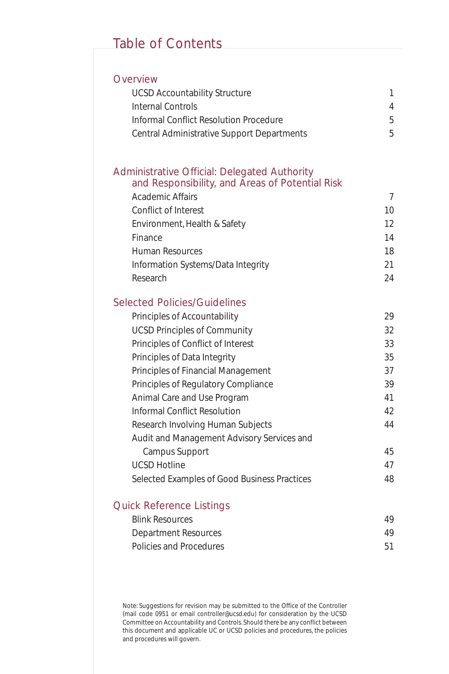### Table of Contents

#### **Overview**

| <b>UCSD Accountability Structure</b>       |   |
|--------------------------------------------|---|
| Internal Controls                          | 4 |
| Informal Conflict Resolution Procedure     | 5 |
| Central Administrative Support Departments | 5 |

#### Administrative Official: Delegated Authority and Responsibility, and Areas of Potential Risk

| <b>Academic Affairs</b>            |    |
|------------------------------------|----|
| Conflict of Interest               | 10 |
| Environment, Health & Safety       | 12 |
| Finance                            | 14 |
| Human Resources                    | 18 |
| Information Systems/Data Integrity | 21 |
| Research                           | 24 |
|                                    |    |

#### Selected Policies/Guidelines

| Principles of Accountability                 | 29 |
|----------------------------------------------|----|
| <b>UCSD Principles of Community</b>          | 32 |
| Principles of Conflict of Interest           | 33 |
| Principles of Data Integrity                 | 35 |
| Principles of Financial Management           | 37 |
| Principles of Regulatory Compliance          | 39 |
| Animal Care and Use Program                  | 41 |
| Informal Conflict Resolution                 | 42 |
| Research Involving Human Subjects            | 44 |
| Audit and Management Advisory Services and   |    |
| Campus Support                               | 45 |
| <b>UCSD Hotline</b>                          | 47 |
| Selected Examples of Good Business Practices | 48 |

#### Quick Reference Listings

| Blink Resources         | 49 |
|-------------------------|----|
| Department Resources    | 49 |
| Policies and Procedures | 51 |

Note: Suggestions for revision may be submitted to the Office of the Controller (mail code 0951 or email controller@ucsd.edu) for consideration by the UCSD Committee on Accountability and Controls. Should there be any conflict between this document and applicable UC or UCSD policies and procedures, the policies and procedures will govern.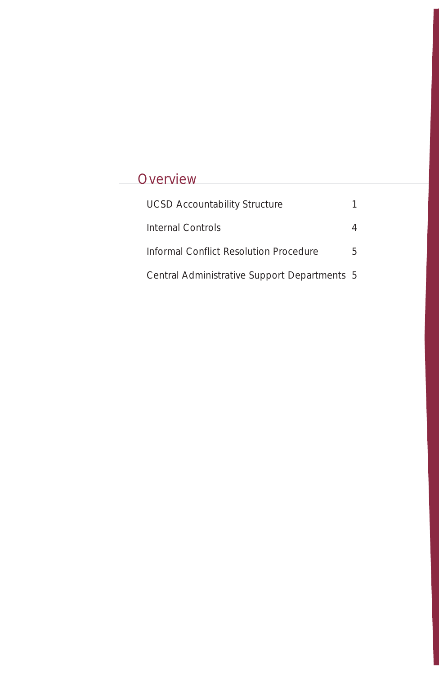## **Overview**

| <b>UCSD Accountability Structure</b>         |   |
|----------------------------------------------|---|
| Internal Controls                            |   |
| Informal Conflict Resolution Procedure       | 5 |
| Central Administrative Support Departments 5 |   |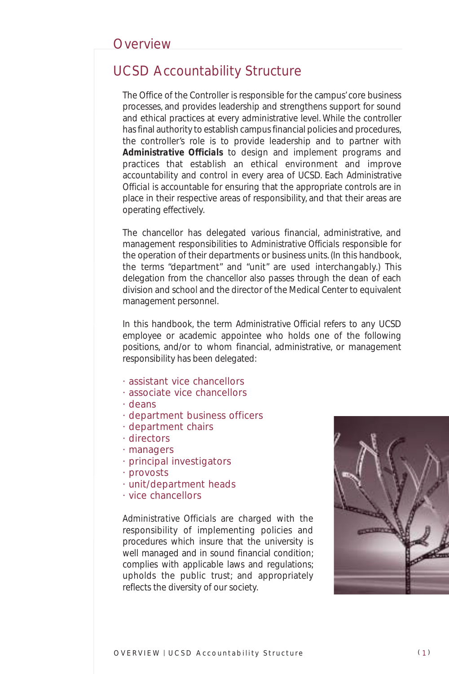### UCSD Accountability Structure

The Office of the Controller is responsible for the campus' core business processes, and provides leadership and strengthens support for sound and ethical practices at every administrative level. While the controller has final authority to establish campus financial policies and procedures, the controller's role is to provide leadership and to partner with *Administrative Officials* to design and implement programs and practices that establish an ethical environment and improve accountability and control in every area of UCSD. Each *Administrative Official* is accountable for ensuring that the appropriate controls are in place in their respective areas of responsibility, and that their areas are operating effectively.

The chancellor has delegated various financial, administrative, and management responsibilities to *Administrative Official*s responsible for the operation of their departments or business units. (In this handbook, the terms "department" and "unit" are used interchangably.) This delegation from the chancellor also passes through the dean of each division and school and the director of the Medical Center to equivalent management personnel.

In this handbook, the term *Administrative Official* refers to any UCSD employee or academic appointee who holds one of the following positions, and/or to whom financial, administrative, or management responsibility has been delegated:

- *· assistant vice chancellors*
- *· associate vice chancellors*
- *· deans*
- *· department business officers*
- *· department chairs*
- *· directors*
- *· managers*
- *· principal investigators*
- *· provosts*
- *· unit/department heads*
- *· vice chancellors*

*Administrative Officials* are charged with the responsibility of implementing policies and procedures which insure that the university is well managed and in sound financial condition; complies with applicable laws and regulations; upholds the public trust; and appropriately reflects the diversity of our society.

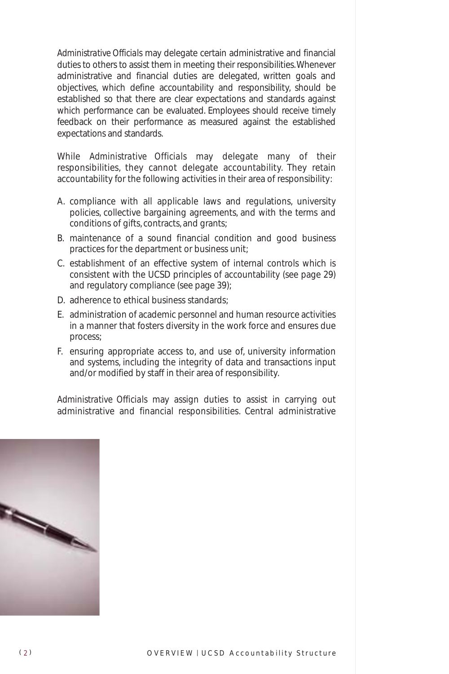*Administrative Officials* may delegate certain administrative and financial duties to others to assist them in meeting their responsibilities.Whenever administrative and financial duties are delegated, written goals and objectives, which define accountability and responsibility, should be established so that there are clear expectations and standards against which performance can be evaluated. Employees should receive timely feedback on their performance as measured against the established expectations and standards.

While *Administrative Officials* may delegate many of their responsibilities, they cannot delegate accountability. They retain accountability for the following activities in their area of responsibility:

- A. compliance with all applicable laws and regulations, university policies, collective bargaining agreements, and with the terms and conditions of gifts, contracts, and grants;
- B. maintenance of a sound financial condition and good business practices for the department or business unit;
- C. establishment of an effective system of internal controls which is consistent with the UCSD principles of accountability (see page 29) and regulatory compliance (see page 39);
- D. adherence to ethical business standards;
- E. administration of academic personnel and human resource activities in a manner that fosters diversity in the work force and ensures due process;
- F. ensuring appropriate access to, and use of, university information and systems, including the integrity of data and transactions input and/or modified by staff in their area of responsibility.

*Administrative Officials* may assign duties to assist in carrying out administrative and financial responsibilities. Central administrative

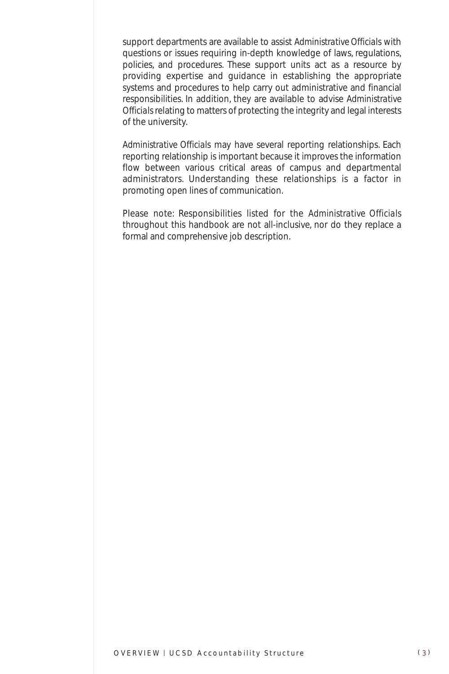support departments are available to assist *Administrative Officials* with questions or issues requiring in-depth knowledge of laws, regulations, policies, and procedures. These support units act as a resource by providing expertise and guidance in establishing the appropriate systems and procedures to help carry out administrative and financial responsibilities. In addition, they are available to advise *Administrative Officials* relating to matters of protecting the integrity and legal interests of the university.

*Administrative Officials* may have several reporting relationships. Each reporting relationship is important because it improves the information flow between various critical areas of campus and departmental administrators. Understanding these relationships is a factor in promoting open lines of communication.

Please note: Responsibilities listed for the *Administrative Officials* throughout this handbook are not all-inclusive, nor do they replace a formal and comprehensive job description.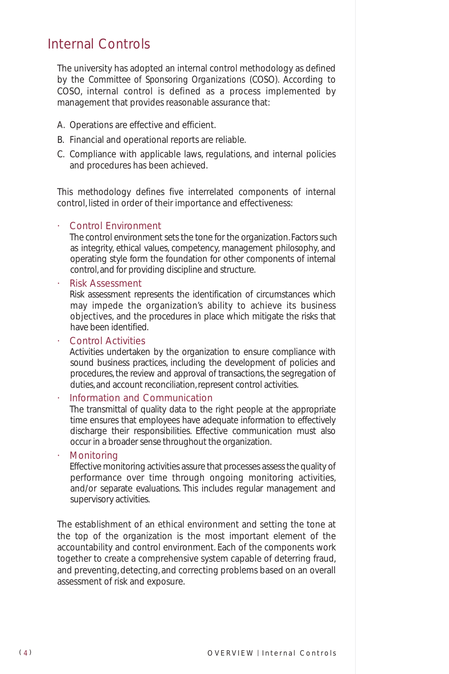### Internal Controls

The university has adopted an internal control methodology as defined by the *Committee of Sponsoring Organizations* (COSO). According to COSO, internal control is defined as a process implemented by management that provides reasonable assurance that:

- A. Operations are effective and efficient.
- B. Financial and operational reports are reliable.
- C. Compliance with applicable laws, regulations, and internal policies and procedures has been achieved.

This methodology defines five interrelated components of internal control, listed in order of their importance and effectiveness:

#### *· Control Environment*

The control environment sets the tone for the organization. Factors such as integrity, ethical values, competency, management philosophy, and operating style form the foundation for other components of internal control, and for providing discipline and structure.

*· Risk Assessment*

Risk assessment represents the identification of circumstances which may impede the organization's ability to achieve its business objectives, and the procedures in place which mitigate the risks that have been identified.

*· Control Activities*

Activities undertaken by the organization to ensure compliance with sound business practices, including the development of policies and procedures, the review and approval of transactions, the segregation of duties, and account reconciliation, represent control activities.

*· Information and Communication*

The transmittal of quality data to the right people at the appropriate time ensures that employees have adequate information to effectively discharge their responsibilities. Effective communication must also occur in a broader sense throughout the organization.

*· Monitoring*

Effective monitoring activities assure that processes assess the quality of performance over time through ongoing monitoring activities, and/or separate evaluations. This includes regular management and supervisory activities.

The establishment of an ethical environment and setting the tone at the top of the organization is the most important element of the accountability and control environment. Each of the components work together to create a comprehensive system capable of deterring fraud, and preventing, detecting, and correcting problems based on an overall assessment of risk and exposure.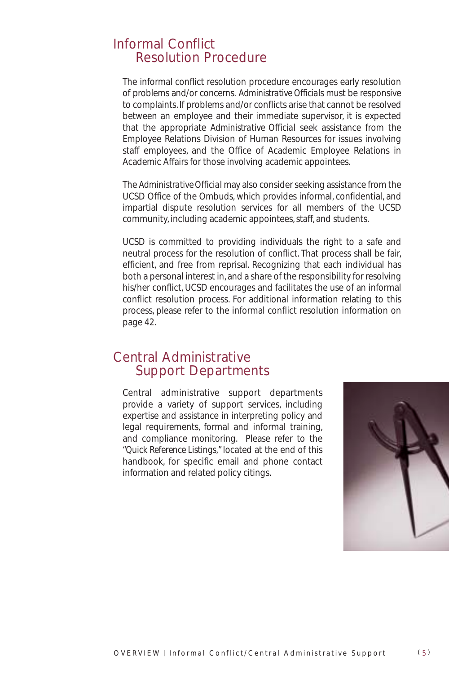### Informal Conflict Resolution Procedure

The informal conflict resolution procedure encourages early resolution of problems and/or concerns. *Administrative Officials* must be responsive to complaints. If problems and/or conflicts arise that cannot be resolved between an employee and their immediate supervisor, it is expected that the appropriate *Administrative Official* seek assistance from the Employee Relations Division of Human Resources for issues involving staff employees, and the Office of Academic Employee Relations in Academic Affairs for those involving academic appointees.

The *Administrative Official* may also consider seeking assistance from the UCSD Office of the Ombuds, which provides informal, confidential, and impartial dispute resolution services for all members of the UCSD community, including academic appointees, staff, and students.

UCSD is committed to providing individuals the right to a safe and neutral process for the resolution of conflict. That process shall be fair, efficient, and free from reprisal. Recognizing that each individual has both a personal interest in, and a share of the responsibility for resolving his/her conflict, UCSD encourages and facilitates the use of an informal conflict resolution process. For additional information relating to this process, please refer to the informal conflict resolution information on page 42.

### Central Administrative Support Departments

Central administrative support departments provide a variety of support services, including expertise and assistance in interpreting policy and legal requirements, formal and informal training, and compliance monitoring. Please refer to the *"Quick Reference Listings,"* located at the end of this handbook, for specific email and phone contact information and related policy citings.

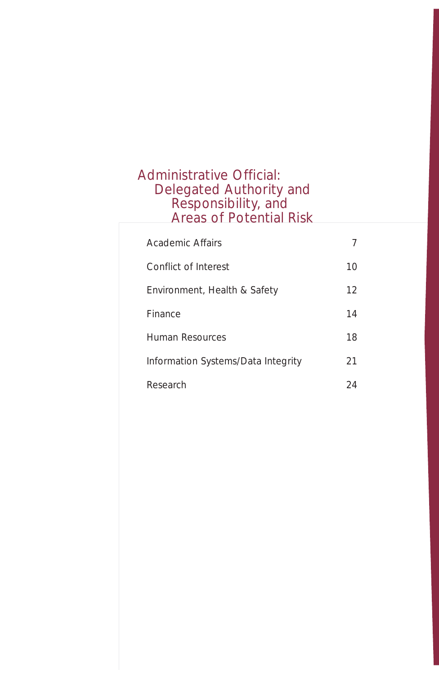### Administrative Official: Delegated Authority and Responsibility, and Areas of Potential Risk

| Academic Affairs                   |    |
|------------------------------------|----|
| Conflict of Interest               | 10 |
| Environment, Health & Safety       | 12 |
| Finance                            | 14 |
| Human Resources                    | 18 |
| Information Systems/Data Integrity | 21 |
| Research                           |    |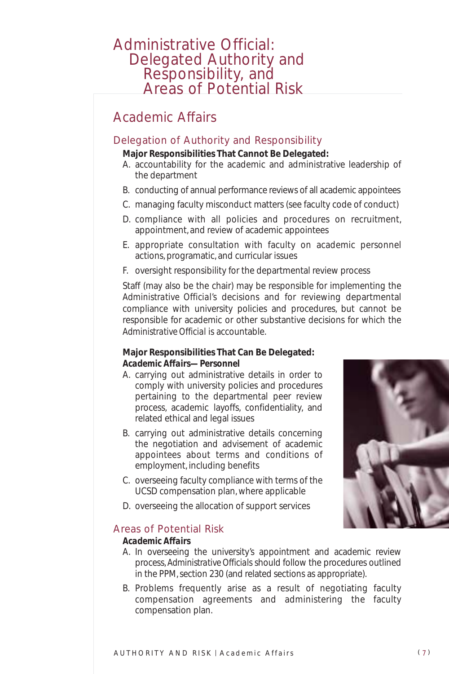# Administrative Official: Delegated Authority and Responsibility, and Areas of Potential Risk

### Academic Affairs

#### Delegation of Authority and Responsibility

#### **Major Responsibilities That Cannot Be Delegated:**

- A. accountability for the academic and administrative leadership of the department
- B. conducting of annual performance reviews of all academic appointees
- C. managing faculty misconduct matters (see faculty code of conduct)
- D. compliance with all policies and procedures on recruitment, appointment, and review of academic appointees
- E. appropriate consultation with faculty on academic personnel actions, programatic, and curricular issues
- F. oversight responsibility for the departmental review process

Staff (may also be the chair) may be responsible for implementing the *Administrative Official's* decisions and for reviewing departmental compliance with university policies and procedures, but cannot be responsible for academic or other substantive decisions for which the *Administrative Official* is accountable.

#### **Major Responsibilities That Can Be Delegated:** *Academic Affairs—Personnel*

- A. carrying out administrative details in order to comply with university policies and procedures pertaining to the departmental peer review process, academic layoffs, confidentiality, and related ethical and legal issues
- B. carrying out administrative details concerning the negotiation and advisement of academic appointees about terms and conditions of employment, including benefits
- C. overseeing faculty compliance with terms of the UCSD compensation plan, where applicable
- D. overseeing the allocation of support services

#### Areas of Potential Risk

#### *Academic Affairs*

- A. In overseeing the university's appointment and academic review process, *Administrative Officials* should follow the procedures outlined in the PPM, section 230 (and related sections as appropriate).
- B. Problems frequently arise as a result of negotiating faculty compensation agreements and administering the faculty compensation plan.

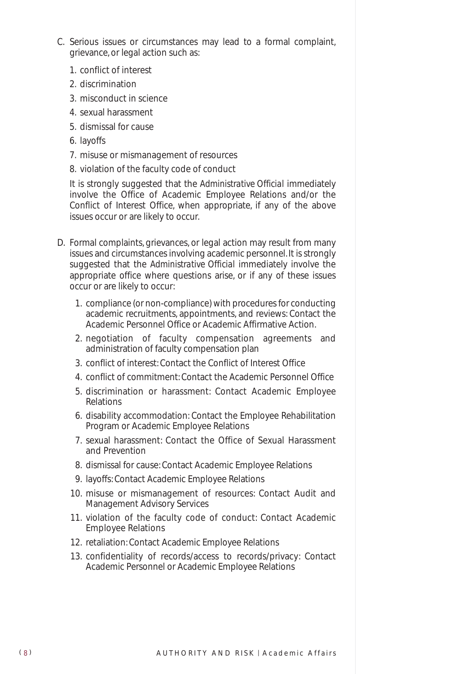- C. Serious issues or circumstances may lead to a formal complaint, grievance, or legal action such as:
	- 1. conflict of interest
	- 2. discrimination
	- 3. misconduct in science
	- 4. sexual harassment
	- 5. dismissal for cause
	- 6. layoffs
	- 7. misuse or mismanagement of resources
	- 8. violation of the faculty code of conduct

It is strongly suggested that the *Administrative Official* immediately involve the Office of Academic Employee Relations and/or the Conflict of Interest Office, when appropriate, if any of the above issues occur or are likely to occur.

- D. Formal complaints, grievances, or legal action may result from many issues and circumstances involving academic personnel. It is strongly suggested that the *Administrative Official* immediately involve the appropriate office where questions arise, or if any of these issues occur or are likely to occur:
	- 1. compliance (or non-compliance) with procedures for conducting academic recruitments, appointments, and reviews: Contact the Academic Personnel Office or Academic Affirmative Action.
	- 2. negotiation of faculty compensation agreements and administration of faculty compensation plan
	- 3. conflict of interest: Contact the Conflict of Interest Office
	- 4. conflict of commitment: Contact the Academic Personnel Office
	- 5. discrimination or harassment: Contact Academic Employee Relations
	- 6. disability accommodation: Contact the Employee Rehabilitation Program or Academic Employee Relations
	- 7. sexual harassment: Contact the Office of Sexual Harassment and Prevention
	- 8. dismissal for cause: Contact Academic Employee Relations
	- 9. layoffs: Contact Academic Employee Relations
	- 10. misuse or mismanagement of resources: Contact Audit and Management Advisory Services
	- 11. violation of the faculty code of conduct: Contact Academic Employee Relations
	- 12. retaliation: Contact Academic Employee Relations
	- 13. confidentiality of records/access to records/privacy: Contact Academic Personnel or Academic Employee Relations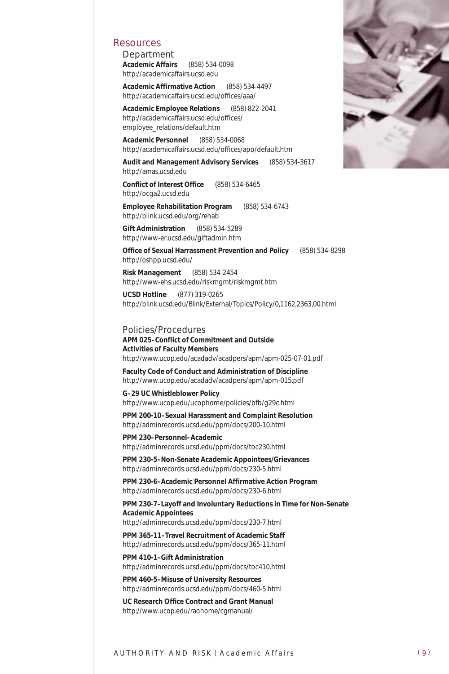#### Resources

*Department* **Academic Affairs** (858) 534-0098 http://academicaffairs.ucsd.edu

**Academic Affirmative Action** (858) 534-4497 http://academicaffairs.ucsd.edu/offices/aaa/

**Academic Employee Relations** (858) 822-2041 http://academicaffairs.ucsd.edu/offices/ employee\_relations/default.htm

**Academic Personnel** (858) 534-0068 http://academicaffairs.ucsd.edu/offices/apo/default.htm

**Audit and Management Advisory Services** (858) 534-3617 http://amas.ucsd.edu

**Conflict of Interest Office** (858) 534-6465 http://ocga2.ucsd.edu

**Employee Rehabilitation Program** (858) 534-6743 http://blink.ucsd.edu/org/rehab

**Gift Administration** (858) 534-5289 http://www-er.ucsd.edu/giftadmin.htm

**Office of Sexual Harrassment Prevention and Policy** (858) 534-8298 http://oshpp.ucsd.edu/

**Risk Management** (858) 534-2454 http://www-ehs.ucsd.edu/riskmgmt/riskmgmt.htm

**UCSD Hotline** (877) 319-0265 http://blink.ucsd.edu/Blink/External/Topics/Policy/0,1162,2363,00.html

#### *Policies/Procedures*

**APM 025–Conflict of Commitment and Outside Activities of Faculty Members** http://www.ucop.edu/acadadv/acadpers/apm/apm-025-07-01.pdf

**Faculty Code of Conduct and Administration of Discipline** http://www.ucop.edu/acadadv/acadpers/apm/apm-015.pdf

#### **G–29 UC Whistleblower Policy**

http://www.ucop.edu/ucophome/policies/bfb/g29c.html

**PPM 200-10–Sexual Harassment and Complaint Resolution** http://adminrecords.ucsd.edu/ppm/docs/200-10.html

**PPM 230–Personnel–Academic**

http://adminrecords.ucsd.edu/ppm/docs/toc230.html

**PPM 230-5–Non-Senate Academic Appointees/Grievances** http://adminrecords.ucsd.edu/ppm/docs/230-5.html

**PPM 230-6–Academic Personnel Affirmative Action Program** http://adminrecords.ucsd.edu/ppm/docs/230-6.html

**PPM 230-7–Layoff and Involuntary Reductions in Time for Non-Senate Academic Appointees** http://adminrecords.ucsd.edu/ppm/docs/230-7.html

**PPM 365-11–Travel Recruitment of Academic Staff** http://adminrecords.ucsd.edu/ppm/docs/365-11.html

**PPM 410-1–Gift Administration** http://adminrecords.ucsd.edu/ppm/docs/toc410.html

**PPM 460-5–Misuse of University Resources** http://adminrecords.ucsd.edu/ppm/docs/460-5.html

**UC Research Office Contract and Grant Manual** http://www.ucop.edu/raohome/cgmanual/

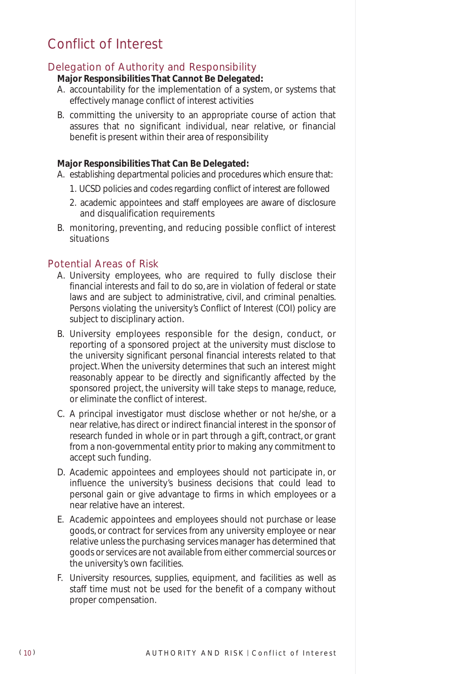### Conflict of Interest

### Delegation of Authority and Responsibility

#### **Major Responsibilities That Cannot Be Delegated:**

- A. accountability for the implementation of a system, or systems that effectively manage conflict of interest activities
- B. committing the university to an appropriate course of action that assures that no significant individual, near relative, or financial benefit is present within their area of responsibility

#### **Major Responsibilities That Can Be Delegated:**

- A. establishing departmental policies and procedures which ensure that:
	- 1. UCSD policies and codes regarding conflict of interest are followed
	- 2. academic appointees and staff employees are aware of disclosure and disqualification requirements
- B. monitoring, preventing, and reducing possible conflict of interest situations

#### Potential Areas of Risk

- A. University employees, who are required to fully disclose their financial interests and fail to do so, are in violation of federal or state laws and are subject to administrative, civil, and criminal penalties. Persons violating the university's Conflict of Interest (COI) policy are subject to disciplinary action.
- B. University employees responsible for the design, conduct, or reporting of a sponsored project at the university must disclose to the university significant personal financial interests related to that project. When the university determines that such an interest might reasonably appear to be directly and significantly affected by the sponsored project, the university will take steps to manage, reduce, or eliminate the conflict of interest.
- C. A principal investigator must disclose whether or not he/she, or a near relative, has direct or indirect financial interest in the sponsor of research funded in whole or in part through a gift, contract, or grant from a non-governmental entity prior to making any commitment to accept such funding.
- D. Academic appointees and employees should not participate in, or influence the university's business decisions that could lead to personal gain or give advantage to firms in which employees or a near relative have an interest.
- E. Academic appointees and employees should not purchase or lease goods, or contract for services from any university employee or near relative unless the purchasing services manager has determined that goods or services are not available from either commercial sources or the university's own facilities.
- F. University resources, supplies, equipment, and facilities as well as staff time must not be used for the benefit of a company without proper compensation.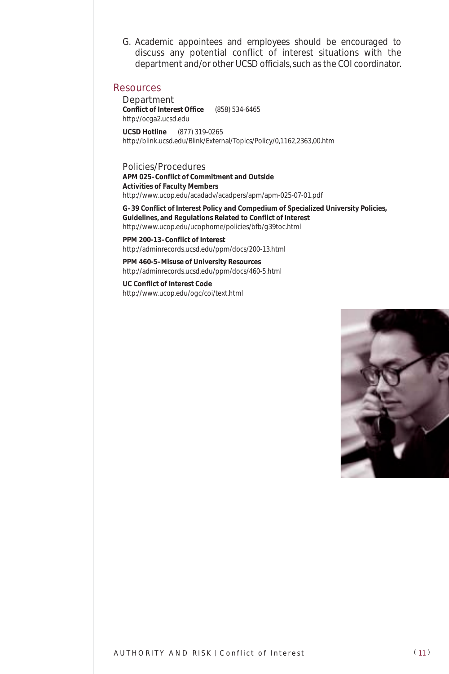G. Academic appointees and employees should be encouraged to discuss any potential conflict of interest situations with the department and/or other UCSD officials, such as the COI coordinator.

#### Resources

*Department* **Conflict of Interest Office** (858) 534-6465 http://ocga2.ucsd.edu **UCSD Hotline** (877) 319-0265 http://blink.ucsd.edu/Blink/External/Topics/Policy/0,1162,2363,00.htm

*Policies/Procedures* **APM 025–Conflict of Commitment and Outside Activities of Faculty Members** http://www.ucop.edu/acadadv/acadpers/apm/apm-025-07-01.pdf

**G–39 Conflict of Interest Policy and Compedium of Specialized University Policies, Guidelines, and Regulations Related to Conflict of Interest** http://www.ucop.edu/ucophome/policies/bfb/g39toc.html

**PPM 200-13–Conflict of Interest** http://adminrecords.ucsd.edu/ppm/docs/200-13.html

**PPM 460-5–Misuse of University Resources** http://adminrecords.ucsd.edu/ppm/docs/460-5.html

**UC Conflict of Interest Code** http://www.ucop.edu/ogc/coi/text.html

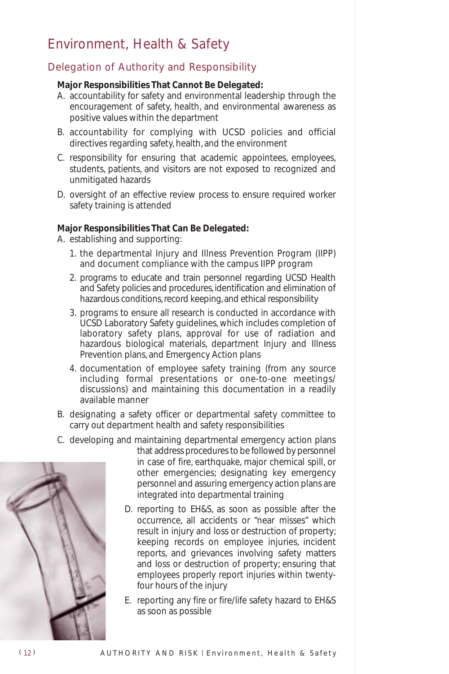### Environment, Health & Safety

### Delegation of Authority and Responsibility

#### **Major Responsibilities That Cannot Be Delegated:**

- A. accountability for safety and environmental leadership through the encouragement of safety, health, and environmental awareness as positive values within the department
- B. accountability for complying with UCSD policies and official directives regarding safety, health, and the environment
- C. responsibility for ensuring that academic appointees, employees, students, patients, and visitors are not exposed to recognized and unmitigated hazards
- D. oversight of an effective review process to ensure required worker safety training is attended

#### **Major Responsibilities That Can Be Delegated:**

A. establishing and supporting:

- 1. the departmental Injury and Illness Prevention Program (IIPP) and document compliance with the campus IIPP program
- 2. programs to educate and train personnel regarding UCSD Health and Safety policies and procedures, identification and elimination of hazardous conditions, record keeping, and ethical responsibility
- 3. programs to ensure all research is conducted in accordance with UCSD Laboratory Safety guidelines, which includes completion of laboratory safety plans, approval for use of radiation and hazardous biological materials, department Injury and Illness Prevention plans, and Emergency Action plans
- 4. documentation of employee safety training (from any source including formal presentations or one-to-one meetings/ discussions) and maintaining this documentation in a readily available manner
- B. designating a safety officer or departmental safety committee to carry out department health and safety responsibilities
- C. developing and maintaining departmental emergency action plans



- that address procedures to be followed by personnel in case of fire, earthquake, major chemical spill, or other emergencies; designating key emergency personnel and assuring emergency action plans are integrated into departmental training
- D. reporting to EH&S, as soon as possible after the occurrence, all accidents or "near misses" which result in injury and loss or destruction of property; keeping records on employee injuries, incident reports, and grievances involving safety matters and loss or destruction of property; ensuring that employees properly report injuries within twentyfour hours of the injury
- E. reporting any fire or fire/life safety hazard to EH&S as soon as possible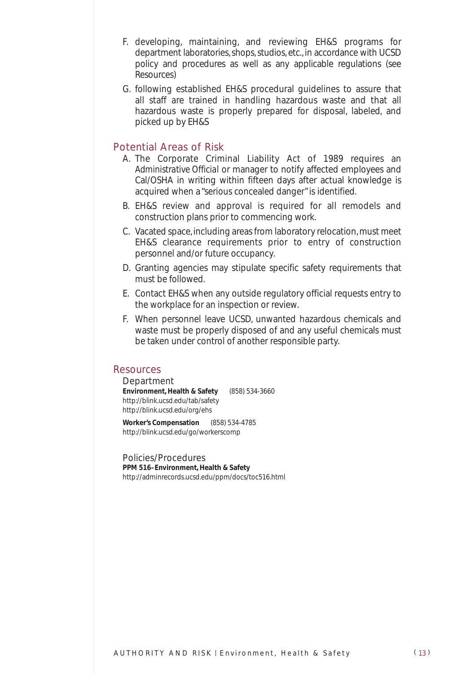- F. developing, maintaining, and reviewing EH&S programs for department laboratories, shops, studios, etc., in accordance with UCSD policy and procedures as well as any applicable regulations (see Resources)
- G. following established EH&S procedural guidelines to assure that all staff are trained in handling hazardous waste and that all hazardous waste is properly prepared for disposal, labeled, and picked up by EH&S

#### Potential Areas of Risk

- A. The Corporate Criminal Liability Act of 1989 requires an *Administrative Official* or manager to notify affected employees and Cal/OSHA in writing within fifteen days after actual knowledge is acquired when a "serious concealed danger" is identified.
- B. EH&S review and approval is required for all remodels and construction plans prior to commencing work.
- C. Vacated space, including areas from laboratory relocation, must meet EH&S clearance requirements prior to entry of construction personnel and/or future occupancy.
- D. Granting agencies may stipulate specific safety requirements that must be followed.
- E. Contact EH&S when any outside regulatory official requests entry to the workplace for an inspection or review.
- F. When personnel leave UCSD, unwanted hazardous chemicals and waste must be properly disposed of and any useful chemicals must be taken under control of another responsible party.

#### Resources

*Department* **Environment, Health & Safety** (858) 534-3660 http://blink.ucsd.edu/tab/safety http://blink.ucsd.edu/org/ehs

**Worker's Compensation** (858) 534-4785 http://blink.ucsd.edu/go/workerscomp

*Policies/Procedures* **PPM 516–Environment, Health & Safety** http://adminrecords.ucsd.edu/ppm/docs/toc516.html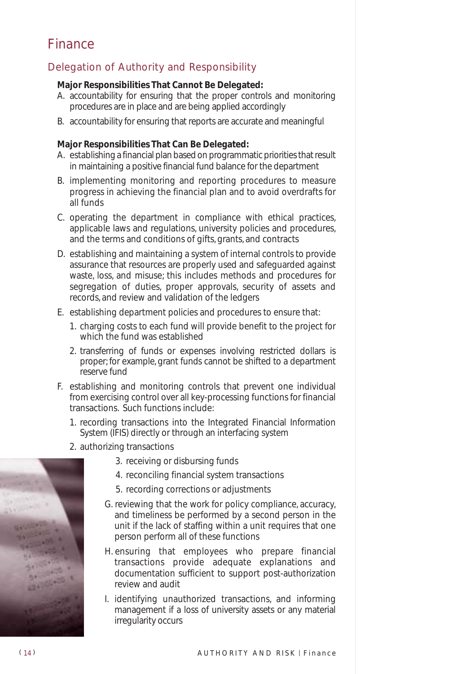### Finance

### Delegation of Authority and Responsibility

#### **Major Responsibilities That Cannot Be Delegated:**

- A. accountability for ensuring that the proper controls and monitoring procedures are in place and are being applied accordingly
- B. accountability for ensuring that reports are accurate and meaningful

#### **Major Responsibilities That Can Be Delegated:**

- A. establishing a financial plan based on programmatic priorities that result in maintaining a positive financial fund balance for the department
- B. implementing monitoring and reporting procedures to measure progress in achieving the financial plan and to avoid overdrafts for all funds
- C. operating the department in compliance with ethical practices, applicable laws and regulations, university policies and procedures, and the terms and conditions of gifts, grants, and contracts
- D. establishing and maintaining a system of internal controls to provide assurance that resources are properly used and safeguarded against waste, loss, and misuse; this includes methods and procedures for segregation of duties, proper approvals, security of assets and records, and review and validation of the ledgers
- E. establishing department policies and procedures to ensure that:
	- 1. charging costs to each fund will provide benefit to the project for which the fund was established
	- 2. transferring of funds or expenses involving restricted dollars is proper; for example, grant funds cannot be shifted to a department reserve fund
- F. establishing and monitoring controls that prevent one individual from exercising control over all key-processing functions for financial transactions. Such functions include:
	- 1. recording transactions into the Integrated Financial Information System (IFIS) directly or through an interfacing system
	- 2. authorizing transactions
		- 3. receiving or disbursing funds
		- 4. reconciling financial system transactions
		- 5. recording corrections or adjustments
		- G. reviewing that the work for policy compliance, accuracy, and timeliness be performed by a second person in the unit if the lack of staffing within a unit requires that one person perform all of these functions
		- H. ensuring that employees who prepare financial transactions provide adequate explanations and documentation sufficient to support post-authorization review and audit
		- I. identifying unauthorized transactions, and informing management if a loss of university assets or any material irregularity occurs

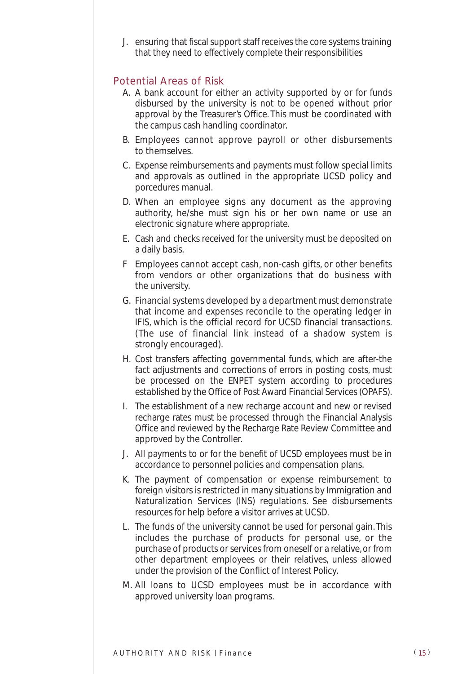J. ensuring that fiscal support staff receives the core systems training that they need to effectively complete their responsibilities

#### Potential Areas of Risk

- A. A bank account for either an activity supported by or for funds disbursed by the university is not to be opened without prior approval by the Treasurer's Office. This must be coordinated with the campus cash handling coordinator.
- B. Employees cannot approve payroll or other disbursements to themselves.
- C. Expense reimbursements and payments must follow special limits and approvals as outlined in the appropriate UCSD policy and porcedures manual.
- D. When an employee signs any document as the approving authority, he/she must sign his or her own name or use an electronic signature where appropriate.
- E. Cash and checks received for the university must be deposited on a daily basis.
- F Employees cannot accept cash, non-cash gifts, or other benefits from vendors or other organizations that do business with the university.
- G. Financial systems developed by a department must demonstrate that income and expenses reconcile to the operating ledger in IFIS, which is the official record for UCSD financial transactions. (The use of financial link instead of a shadow system is strongly encouraged).
- H. Cost transfers affecting governmental funds, which are after-the fact adjustments and corrections of errors in posting costs, must be processed on the ENPET system according to procedures established by the Office of Post Award Financial Services (OPAFS).
- I. The establishment of a new recharge account and new or revised recharge rates must be processed through the Financial Analysis Office and reviewed by the Recharge Rate Review Committee and approved by the Controller.
- J. All payments to or for the benefit of UCSD employees must be in accordance to personnel policies and compensation plans.
- K. The payment of compensation or expense reimbursement to foreign visitors is restricted in many situations by Immigration and Naturalization Services (INS) regulations. See disbursements resources for help before a visitor arrives at UCSD.
- L. The funds of the university cannot be used for personal gain. This includes the purchase of products for personal use, or the purchase of products or services from oneself or a relative, or from other department employees or their relatives, unless allowed under the provision of the Conflict of Interest Policy.
- M. All loans to UCSD employees must be in accordance with approved university loan programs.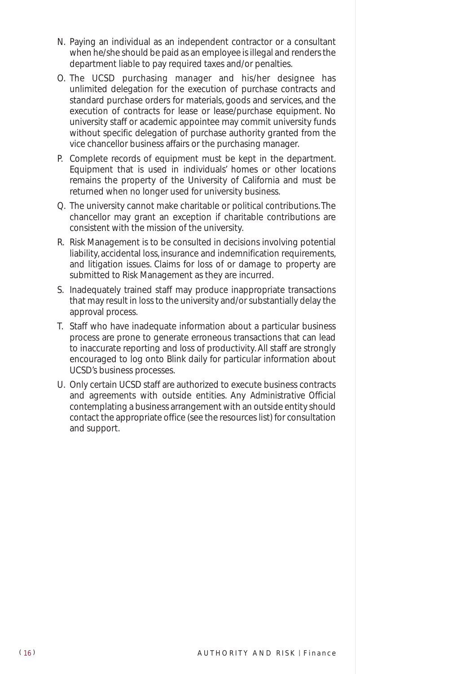- N. Paying an individual as an independent contractor or a consultant when he/she should be paid as an employee is illegal and renders the department liable to pay required taxes and/or penalties.
- O. The UCSD purchasing manager and his/her designee has unlimited delegation for the execution of purchase contracts and standard purchase orders for materials, goods and services, and the execution of contracts for lease or lease/purchase equipment. No university staff or academic appointee may commit university funds without specific delegation of purchase authority granted from the vice chancellor business affairs or the purchasing manager.
- P. Complete records of equipment must be kept in the department. Equipment that is used in individuals' homes or other locations remains the property of the University of California and must be returned when no longer used for university business.
- Q. The university cannot make charitable or political contributions. The chancellor may grant an exception if charitable contributions are consistent with the mission of the university.
- R. Risk Management is to be consulted in decisions involving potential liability, accidental loss, insurance and indemnification requirements, and litigation issues. Claims for loss of or damage to property are submitted to Risk Management as they are incurred.
- S. Inadequately trained staff may produce inappropriate transactions that may result in loss to the university and/or substantially delay the approval process.
- T. Staff who have inadequate information about a particular business process are prone to generate erroneous transactions that can lead to inaccurate reporting and loss of productivity. All staff are strongly encouraged to log onto Blink daily for particular information about UCSD's business processes.
- U. Only certain UCSD staff are authorized to execute business contracts and agreements with outside entities. Any *Administrative Official* contemplating a business arrangement with an outside entity should contact the appropriate office (see the resources list) for consultation and support.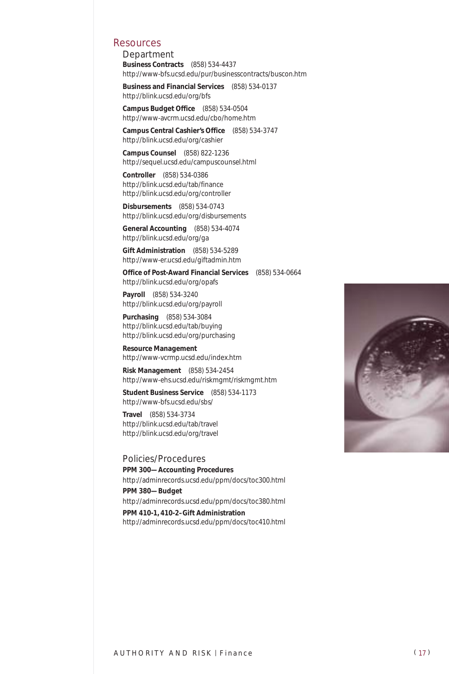#### Resources

*Department* **Business Contracts** (858) 534-4437 http://www-bfs.ucsd.edu/pur/businesscontracts/buscon.htm

**Business and Financial Services** (858) 534-0137 http://blink.ucsd.edu/org/bfs

**Campus Budget Office** (858) 534-0504 http://www-avcrm.ucsd.edu/cbo/home.htm

**Campus Central Cashier's Office** (858) 534-3747 http://blink.ucsd.edu/org/cashier

**Campus Counsel** (858) 822-1236 http://sequel.ucsd.edu/campuscounsel.html

**Controller** (858) 534-0386 http://blink.ucsd.edu/tab/finance http://blink.ucsd.edu/org/controller

**Disbursements** (858) 534-0743 http://blink.ucsd.edu/org/disbursements

**General Accounting** (858) 534-4074 http://blink.ucsd.edu/org/ga

**Gift Administration** (858) 534-5289 http://www-er.ucsd.edu/giftadmin.htm

**Office of Post-Award Financial Services** (858) 534-0664 http://blink.ucsd.edu/org/opafs

**Payroll** (858) 534-3240 http://blink.ucsd.edu/org/payroll

**Purchasing** (858) 534-3084 http://blink.ucsd.edu/tab/buying http://blink.ucsd.edu/org/purchasing

**Resource Management** http://www-vcrmp.ucsd.edu/index.htm

**Risk Management** (858) 534-2454 http://www-ehs.ucsd.edu/riskmgmt/riskmgmt.htm

**Student Business Service** (858) 534-1173 http://www-bfs.ucsd.edu/sbs/

**Travel** (858) 534-3734 http://blink.ucsd.edu/tab/travel http://blink.ucsd.edu/org/travel

*Policies/Procedures*

**PPM 300—Accounting Procedures** http://adminrecords.ucsd.edu/ppm/docs/toc300.html **PPM 380—Budget** http://adminrecords.ucsd.edu/ppm/docs/toc380.html **PPM 410-1, 410-2–Gift Administration** http://adminrecords.ucsd.edu/ppm/docs/toc410.html

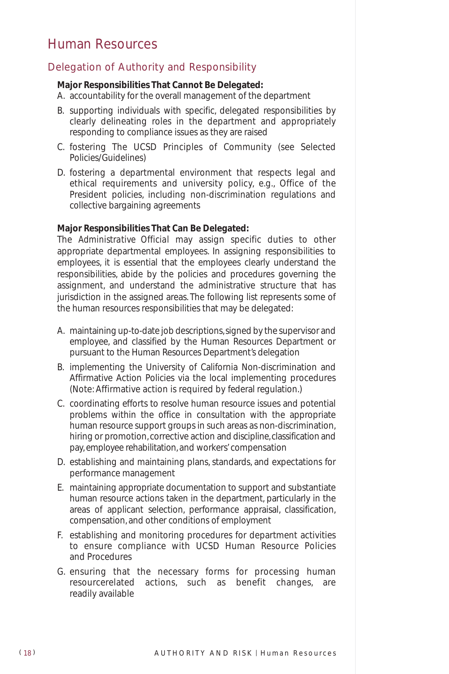### Human Resources

#### Delegation of Authority and Responsibility

#### **Major Responsibilities That Cannot Be Delegated:**

- A. accountability for the overall management of the department
- B. supporting individuals with specific, delegated responsibilities by clearly delineating roles in the department and appropriately responding to compliance issues as they are raised
- C. fostering The UCSD Principles of Community (see Selected Policies/Guidelines)
- D. fostering a departmental environment that respects legal and ethical requirements and university policy, e.g., Office of the President policies, including non-discrimination regulations and collective bargaining agreements

#### **Major Responsibilities That Can Be Delegated:**

The *Administrative Official* may assign specific duties to other appropriate departmental employees. In assigning responsibilities to employees, it is essential that the employees clearly understand the responsibilities, abide by the policies and procedures governing the assignment, and understand the administrative structure that has jurisdiction in the assigned areas. The following list represents some of the human resources responsibilities that may be delegated:

- A. maintaining up-to-date job descriptions, signed by the supervisor and employee, and classified by the Human Resources Department or pursuant to the Human Resources Department's delegation
- B. implementing the University of California Non-discrimination and Affirmative Action Policies via the local implementing procedures (Note: Affirmative action is required by federal regulation.)
- C. coordinating efforts to resolve human resource issues and potential problems within the office in consultation with the appropriate human resource support groups in such areas as non-discrimination, hiring or promotion, corrective action and discipline, classification and pay, employee rehabilitation, and workers' compensation
- D. establishing and maintaining plans, standards, and expectations for performance management
- E. maintaining appropriate documentation to support and substantiate human resource actions taken in the department, particularly in the areas of applicant selection, performance appraisal, classification, compensation, and other conditions of employment
- F. establishing and monitoring procedures for department activities to ensure compliance with UCSD Human Resource Policies and Procedures
- G. ensuring that the necessary forms for processing human resourcerelated actions, such as benefit changes, are readily available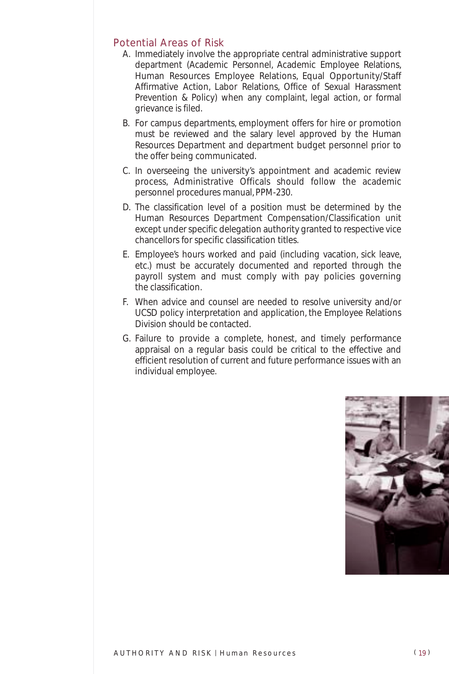#### Potential Areas of Risk

- A. Immediately involve the appropriate central administrative support department (Academic Personnel, Academic Employee Relations, Human Resources Employee Relations, Equal Opportunity/Staff Affirmative Action, Labor Relations, Office of Sexual Harassment Prevention & Policy) when any complaint, legal action, or formal grievance is filed.
- B. For campus departments, employment offers for hire or promotion must be reviewed and the salary level approved by the Human Resources Department and department budget personnel prior to the offer being communicated.
- C. In overseeing the university's appointment and academic review process, Administrative Officals should follow the academic personnel procedures manual, PPM-230.
- D. The classification level of a position must be determined by the Human Resources Department Compensation/Classification unit except under specific delegation authority granted to respective vice chancellors for specific classification titles.
- E. Employee's hours worked and paid (including vacation, sick leave, etc.) must be accurately documented and reported through the payroll system and must comply with pay policies governing the classification.
- F. When advice and counsel are needed to resolve university and/or UCSD policy interpretation and application, the Employee Relations Division should be contacted.
- G. Failure to provide a complete, honest, and timely performance appraisal on a regular basis could be critical to the effective and efficient resolution of current and future performance issues with an individual employee.

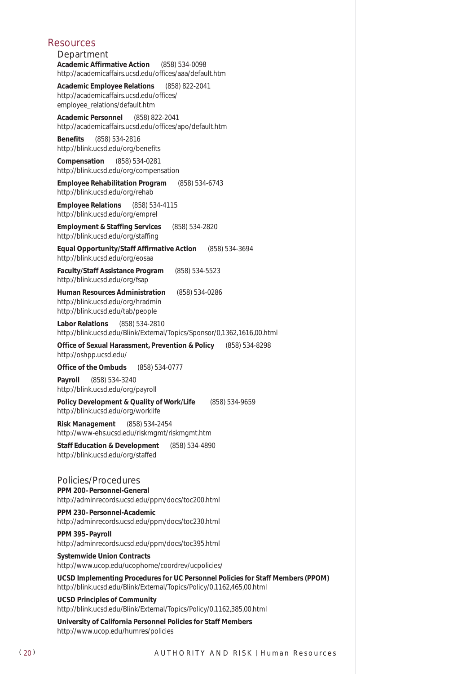#### Resources

*Department* **Academic Affirmative Action** (858) 534-0098 http://academicaffairs.ucsd.edu/offices/aaa/default.htm

**Academic Employee Relations** (858) 822-2041 http://academicaffairs.ucsd.edu/offices/ employee\_relations/default.htm

**Academic Personnel** (858) 822-2041 http://academicaffairs.ucsd.edu/offices/apo/default.htm

**Benefits** (858) 534-2816 http://blink.ucsd.edu/org/benefits

**Compensation** (858) 534-0281 http://blink.ucsd.edu/org/compensation

**Employee Rehabilitation Program** (858) 534-6743 http://blink.ucsd.edu/org/rehab

**Employee Relations** (858) 534-4115 http://blink.ucsd.edu/org/emprel

**Employment & Staffing Services** (858) 534-2820 http://blink.ucsd.edu/org/staffing

**Equal Opportunity/Staff Affirmative Action** (858) 534-3694 http://blink.ucsd.edu/org/eosaa

**Faculty/Staff Assistance Program** (858) 534-5523 http://blink.ucsd.edu/org/fsap

**Human Resources Administration** (858) 534-0286 http://blink.ucsd.edu/org/hradmin http://blink.ucsd.edu/tab/people

**Labor Relations** (858) 534-2810 http://blink.ucsd.edu/Blink/External/Topics/Sponsor/0,1362,1616,00.html

**Office of Sexual Harassment, Prevention & Policy** (858) 534-8298 http://oshpp.ucsd.edu/

**Office of the Ombuds** (858) 534-0777

**Payroll** (858) 534-3240 http://blink.ucsd.edu/org/payroll

**Policy Development & Quality of Work/Life** (858) 534-9659 http://blink.ucsd.edu/org/worklife

**Risk Management** (858) 534-2454 http://www-ehs.ucsd.edu/riskmgmt/riskmgmt.htm

**Staff Education & Development** (858) 534-4890 http://blink.ucsd.edu/org/staffed

#### *Policies/Procedures*

**PPM 200–Personnel-General** http://adminrecords.ucsd.edu/ppm/docs/toc200.html

**PPM 230–Personnel-Academic** http://adminrecords.ucsd.edu/ppm/docs/toc230.html

**PPM 395–Payroll** http://adminrecords.ucsd.edu/ppm/docs/toc395.html

**Systemwide Union Contracts** http://www.ucop.edu/ucophome/coordrev/ucpolicies/

**UCSD Implementing Procedures for UC Personnel Policies for Staff Members (PPOM)** http://blink.ucsd.edu/Blink/External/Topics/Policy/0,1162,465,00.html

**UCSD Principles of Community** http://blink.ucsd.edu/Blink/External/Topics/Policy/0,1162,385,00.html

**University of California Personnel Policies for Staff Members** http://www.ucop.edu/humres/policies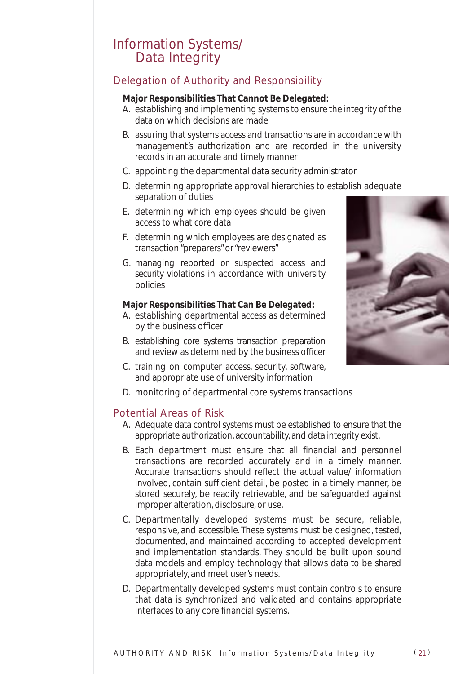### Information Systems/ Data Integrity

### Delegation of Authority and Responsibility

#### **Major Responsibilities That Cannot Be Delegated:**

- A. establishing and implementing systems to ensure the integrity of the data on which decisions are made
- B. assuring that systems access and transactions are in accordance with management's authorization and are recorded in the university records in an accurate and timely manner
- C. appointing the departmental data security administrator
- D. determining appropriate approval hierarchies to establish adequate separation of duties
- E. determining which employees should be given access to what core data
- F. determining which employees are designated as transaction "preparers" or "reviewers"
- G. managing reported or suspected access and security violations in accordance with university policies

#### **Major Responsibilities That Can Be Delegated:**

- A. establishing departmental access as determined by the business officer
- B. establishing core systems transaction preparation and review as determined by the business officer
- C. training on computer access, security, software, and appropriate use of university information
- D. monitoring of departmental core systems transactions

#### Potential Areas of Risk

- A. Adequate data control systems must be established to ensure that the appropriate authorization, accountability, and data integrity exist.
- B. Each department must ensure that all financial and personnel transactions are recorded accurately and in a timely manner. Accurate transactions should reflect the actual value/ information involved, contain sufficient detail, be posted in a timely manner, be stored securely, be readily retrievable, and be safeguarded against improper alteration, disclosure, or use.
- C. Departmentally developed systems must be secure, reliable, responsive, and accessible. These systems must be designed, tested, documented, and maintained according to accepted development and implementation standards. They should be built upon sound data models and employ technology that allows data to be shared appropriately, and meet user's needs.
- D. Departmentally developed systems must contain controls to ensure that data is synchronized and validated and contains appropriate interfaces to any core financial systems.

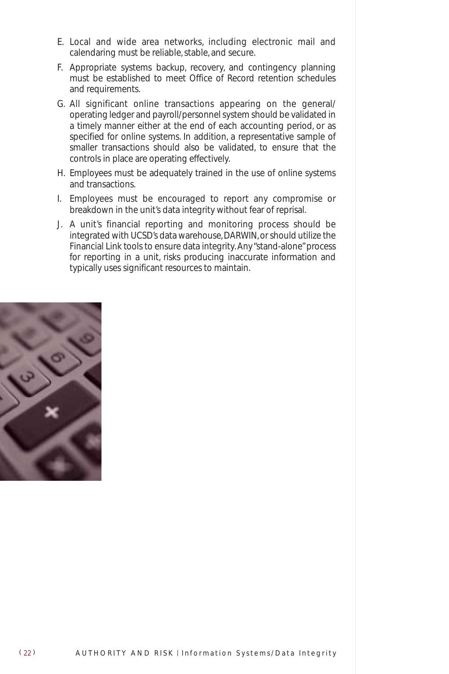- E. Local and wide area networks, including electronic mail and calendaring must be reliable, stable, and secure.
- F. Appropriate systems backup, recovery, and contingency planning must be established to meet Office of Record retention schedules and requirements.
- G. All significant online transactions appearing on the general/ operating ledger and payroll/personnel system should be validated in a timely manner either at the end of each accounting period, or as specified for online systems. In addition, a representative sample of smaller transactions should also be validated, to ensure that the controls in place are operating effectively.
- H. Employees must be adequately trained in the use of online systems and transactions.
- I. Employees must be encouraged to report any compromise or breakdown in the unit's data integrity without fear of reprisal.
- J. A unit's financial reporting and monitoring process should be integrated with UCSD's data warehouse, DARWIN, or should utilize the Financial Link tools to ensure data integrity. Any "stand-alone" process for reporting in a unit, risks producing inaccurate information and typically uses significant resources to maintain.

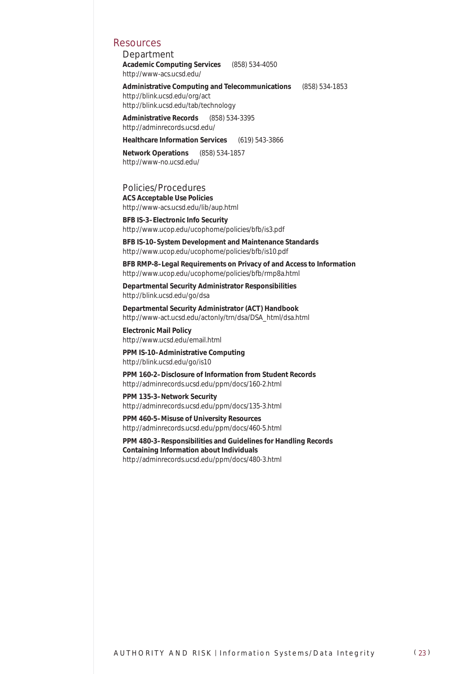#### Resources

*Department* **Academic Computing Services** (858) 534-4050 http://www-acs.ucsd.edu/

**Administrative Computing and Telecommunications** (858) 534-1853 http://blink.ucsd.edu/org/act http://blink.ucsd.edu/tab/technology

**Administrative Records** (858) 534-3395 http://adminrecords.ucsd.edu/

**Healthcare Information Services** (619) 543-3866

**Network Operations** (858) 534-1857 http://www-no.ucsd.edu/

*Policies/Procedures* **ACS Acceptable Use Policies** http://www-acs.ucsd.edu/lib/aup.html

**BFB IS-3–Electronic Info Security** http://www.ucop.edu/ucophome/policies/bfb/is3.pdf

**BFB IS-10–System Development and Maintenance Standards** http://www.ucop.edu/ucophome/policies/bfb/is10.pdf

**BFB RMP-8–Legal Requirements on Privacy of and Access to Information** http://www.ucop.edu/ucophome/policies/bfb/rmp8a.html

**Departmental Security Administrator Responsibilities** http://blink.ucsd.edu/go/dsa

**Departmental Security Administrator (ACT) Handbook** http://www-act.ucsd.edu/actonly/trn/dsa/DSA\_html/dsa.html

**Electronic Mail Policy** http://www.ucsd.edu/email.html

**PPM IS-10–Administrative Computing** http://blink.ucsd.edu/go/is10

**PPM 160-2–Disclosure of Information from Student Records** http://adminrecords.ucsd.edu/ppm/docs/160-2.html

**PPM 135-3–Network Security** http://adminrecords.ucsd.edu/ppm/docs/135-3.html

**PPM 460-5–Misuse of University Resources** http://adminrecords.ucsd.edu/ppm/docs/460-5.html

**PPM 480-3–Responsibilities and Guidelines for Handling Records Containing Information about Individuals** http://adminrecords.ucsd.edu/ppm/docs/480-3.html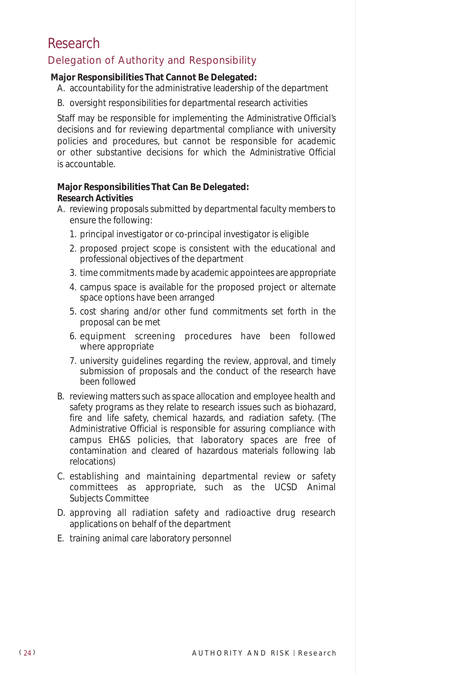### Research

#### Delegation of Authority and Responsibility

#### **Major Responsibilities That Cannot Be Delegated:**

- A. accountability for the administrative leadership of the department
- B. oversight responsibilities for departmental research activities

Staff may be responsible for implementing the *Administrative Official's* decisions and for reviewing departmental compliance with university policies and procedures, but cannot be responsible for academic or other substantive decisions for which the *Administrative Official* is accountable.

#### **Major Responsibilities That Can Be Delegated:** *Research Activities*

- A. reviewing proposals submitted by departmental faculty members to ensure the following:
	- 1. principal investigator or co-principal investigator is eligible
	- 2. proposed project scope is consistent with the educational and professional objectives of the department
	- 3. time commitments made by academic appointees are appropriate
	- 4. campus space is available for the proposed project or alternate space options have been arranged
	- 5. cost sharing and/or other fund commitments set forth in the proposal can be met
	- 6. equipment screening procedures have been followed where appropriate
	- 7. university guidelines regarding the review, approval, and timely submission of proposals and the conduct of the research have been followed
- B. reviewing matters such as space allocation and employee health and safety programs as they relate to research issues such as biohazard, fire and life safety, chemical hazards, and radiation safety. (The Administrative Official is responsible for assuring compliance with campus EH&S policies, that laboratory spaces are free of contamination and cleared of hazardous materials following lab relocations)
- C. establishing and maintaining departmental review or safety committees as appropriate, such as the UCSD Animal Subjects Committee
- D. approving all radiation safety and radioactive drug research applications on behalf of the department
- E. training animal care laboratory personnel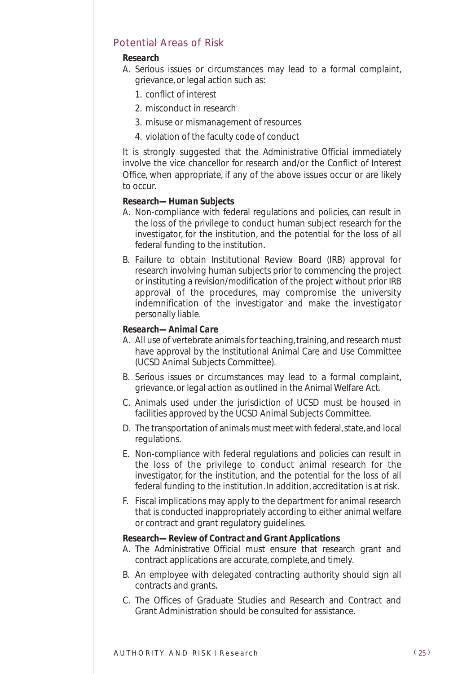#### Potential Areas of Risk

#### *Research*

- A. Serious issues or circumstances may lead to a formal complaint, grievance, or legal action such as:
	- 1. conflict of interest
	- 2. misconduct in research
	- 3. misuse or mismanagement of resources
	- 4. violation of the faculty code of conduct

It is strongly suggested that the *Administrative Official* immediately involve the vice chancellor for research and/or the Conflict of Interest Office, when appropriate, if any of the above issues occur or are likely to occur.

#### *Research—Human Subjects*

- A. Non-compliance with federal regulations and policies, can result in the loss of the privilege to conduct human subject research for the investigator, for the institution, and the potential for the loss of all federal funding to the institution.
- B. Failure to obtain Institutional Review Board (IRB) approval for research involving human subjects prior to commencing the project or instituting a revision/modification of the project without prior IRB approval of the procedures, may compromise the university indemnification of the investigator and make the investigator personally liable.

#### *Research—Animal Care*

- A. All use of vertebrate animals for teaching, training, and research must have approval by the Institutional Animal Care and Use Committee (UCSD Animal Subjects Committee).
- B. Serious issues or circumstances may lead to a formal complaint, grievance, or legal action as outlined in the Animal Welfare Act.
- C. Animals used under the jurisdiction of UCSD must be housed in facilities approved by the UCSD Animal Subjects Committee.
- D. The transportation of animals must meet with federal, state, and local regulations.
- E. Non-compliance with federal regulations and policies can result in the loss of the privilege to conduct animal research for the investigator, for the institution, and the potential for the loss of all federal funding to the institution. In addition, accreditation is at risk.
- F. Fiscal implications may apply to the department for animal research that is conducted inappropriately according to either animal welfare or contract and grant regulatory guidelines.

#### *Research—Review of Contract and Grant Applications*

- A. The *Administrative Official* must ensure that research grant and contract applications are accurate, complete, and timely.
- B. An employee with delegated contracting authority should sign all contracts and grants.
- C. The Offices of Graduate Studies and Research and Contract and Grant Administration should be consulted for assistance.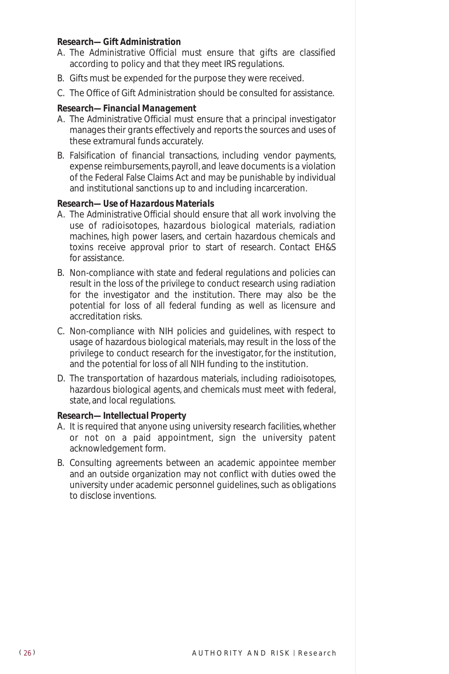#### *Research—Gift Administration*

- A. The *Administrative Official* must ensure that gifts are classified according to policy and that they meet IRS regulations.
- B. Gifts must be expended for the purpose they were received.
- C. The Office of Gift Administration should be consulted for assistance.

#### *Research—Financial Management*

- A. The *Administrative Official* must ensure that a principal investigator manages their grants effectively and reports the sources and uses of these extramural funds accurately.
- B. Falsification of financial transactions, including vendor payments, expense reimbursements, payroll, and leave documents is a violation of the Federal False Claims Act and may be punishable by individual and institutional sanctions up to and including incarceration.

#### *Research—Use of Hazardous Materials*

- A. The *Administrative Official* should ensure that all work involving the use of radioisotopes, hazardous biological materials, radiation machines, high power lasers, and certain hazardous chemicals and toxins receive approval prior to start of research. Contact EH&S for assistance.
- B. Non-compliance with state and federal regulations and policies can result in the loss of the privilege to conduct research using radiation for the investigator and the institution. There may also be the potential for loss of all federal funding as well as licensure and accreditation risks.
- C. Non-compliance with NIH policies and guidelines, with respect to usage of hazardous biological materials, may result in the loss of the privilege to conduct research for the investigator, for the institution, and the potential for loss of all NIH funding to the institution.
- D. The transportation of hazardous materials, including radioisotopes, hazardous biological agents, and chemicals must meet with federal, state, and local regulations.

#### *Research—Intellectual Property*

- A. It is required that anyone using university research facilities, whether or not on a paid appointment, sign the university patent acknowledgement form.
- B. Consulting agreements between an academic appointee member and an outside organization may not conflict with duties owed the university under academic personnel guidelines, such as obligations to disclose inventions.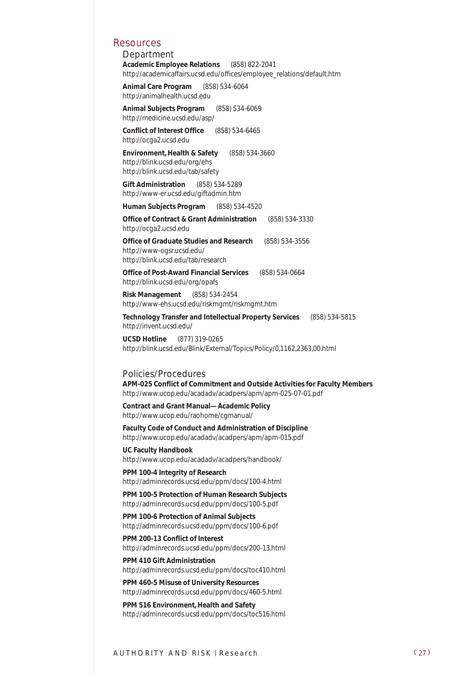#### Resources

*Department* **Academic Employee Relations** (858) 822-2041 http://academicaffairs.ucsd.edu/offices/employee\_relations/default.htm

**Animal Care Program** (858) 534-6064 http://animalhealth.ucsd.edu

**Animal Subjects Program** (858) 534-6069 http://medicine.ucsd.edu/asp/

**Conflict of Interest Office** (858) 534-6465 http://ocga2.ucsd.edu

**Environment, Health & Safety** (858) 534-3660 http://blink.ucsd.edu/org/ehs http://blink.ucsd.edu/tab/safety

**Gift Administration** (858) 534-5289 http://www-er.ucsd.edu/giftadmin.htm

**Human Subjects Program** (858) 534-4520

**Office of Contract & Grant Administration** (858) 534-3330 http://ocga2.ucsd.edu

**Office of Graduate Studies and Research** (858) 534-3556 http://www-ogsr.ucsd.edu/ http://blink.ucsd.edu/tab/research

**Office of Post-Award Financial Services** (858) 534-0664 http://blink.ucsd.edu/org/opafs

**Risk Management** (858) 534-2454 http://www-ehs.ucsd.edu/riskmgmt/riskmgmt.htm

**Technology Transfer and Intellectual Property Services** (858) 534-5815 http://invent.ucsd.edu/

**UCSD Hotline** (877) 319-0265 http://blink.ucsd.edu/Blink/External/Topics/Policy/0,1162,2363,00.html

#### *Policies/Procedures*

**APM-025 Conflict of Commitment and Outside Activities for Faculty Members**  http://www.ucop.edu/acadadv/acadpers/apm/apm-025-07-01.pdf

**Contract and Grant Manual—Academic Policy** http://www.ucop.edu/raohome/cgmanual/

**Faculty Code of Conduct and Administration of Discipline** http://www.ucop.edu/acadadv/acadpers/apm/apm-015.pdf

**UC Faculty Handbook** http://www.ucop.edu/acadadv/acadpers/handbook/

**PPM 100-4 Integrity of Research** http://adminrecords.ucsd.edu/ppm/docs/100-4.html

**PPM 100-5 Protection of Human Research Subjects** http://adminrecords.ucsd.edu/ppm/docs/100-5.pdf

**PPM 100-6 Protection of Animal Subjects** http://adminrecords.ucsd.edu/ppm/docs/100-6.pdf

**PPM 200-13 Conflict of Interest** http://adminrecords.ucsd.edu/ppm/docs/200-13.html

**PPM 410 Gift Administration** http://adminrecords.ucsd.edu/ppm/docs/toc410.html

**PPM 460-5 Misuse of University Resources** http://adminrecords.ucsd.edu/ppm/docs/460-5.html

**PPM 516 Environment, Health and Safety** http://adminrecords.ucsd.edu/ppm/docs/toc516.html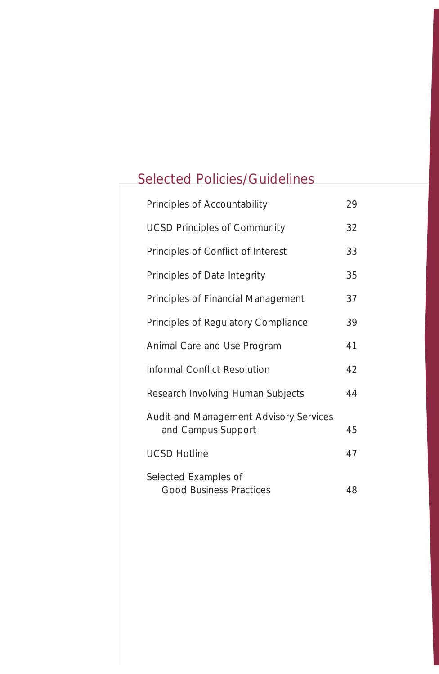## Selected Policies/Guidelines

| Principles of Accountability                                 | 29 |
|--------------------------------------------------------------|----|
| <b>UCSD Principles of Community</b>                          | 32 |
| Principles of Conflict of Interest                           | 33 |
| Principles of Data Integrity                                 | 35 |
| Principles of Financial Management                           | 37 |
| Principles of Regulatory Compliance                          | 39 |
| Animal Care and Use Program                                  | 41 |
| Informal Conflict Resolution                                 | 42 |
| Research Involving Human Subjects                            | 44 |
| Audit and Management Advisory Services<br>and Campus Support | 45 |
| <b>UCSD Hotline</b>                                          | 47 |
| Selected Examples of<br><b>Good Business Practices</b>       | 48 |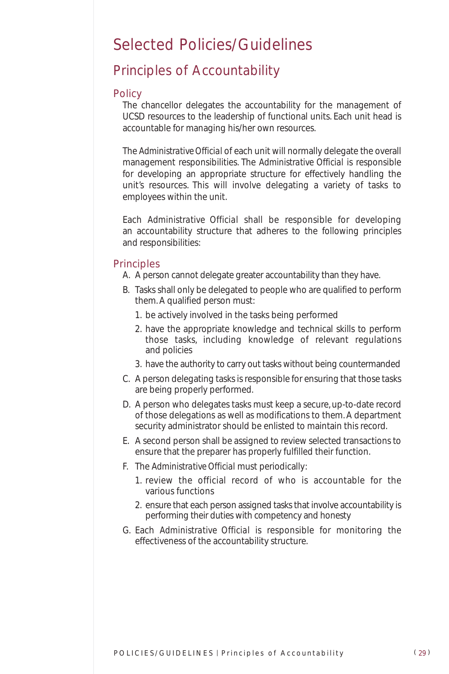## Selected Policies/Guidelines

### Principles of Accountability

#### **Policy**

The chancellor delegates the accountability for the management of UCSD resources to the leadership of functional units. Each unit head is accountable for managing his/her own resources.

The *Administrative Official* of each unit will normally delegate the overall management responsibilities. The *Administrative Official* is responsible for developing an appropriate structure for effectively handling the unit's resources. This will involve delegating a variety of tasks to employees within the unit.

Each *Administrative Official* shall be responsible for developing an accountability structure that adheres to the following principles and responsibilities:

#### **Principles**

- A. A person cannot delegate greater accountability than they have.
- B. Tasks shall only be delegated to people who are qualified to perform them. A qualified person must:
	- 1. be actively involved in the tasks being performed
	- 2. have the appropriate knowledge and technical skills to perform those tasks, including knowledge of relevant regulations and policies
	- 3. have the authority to carry out tasks without being countermanded
- C. A person delegating tasks is responsible for ensuring that those tasks are being properly performed.
- D. A person who delegates tasks must keep a secure, up-to-date record of those delegations as well as modifications to them. A department security administrator should be enlisted to maintain this record.
- E. A second person shall be assigned to review selected transactions to ensure that the preparer has properly fulfilled their function.
- F. The *Administrative Official* must periodically:
	- 1. review the official record of who is accountable for the various functions
	- 2. ensure that each person assigned tasks that involve accountability is performing their duties with competency and honesty
- G. Each *Administrative Official* is responsible for monitoring the effectiveness of the accountability structure.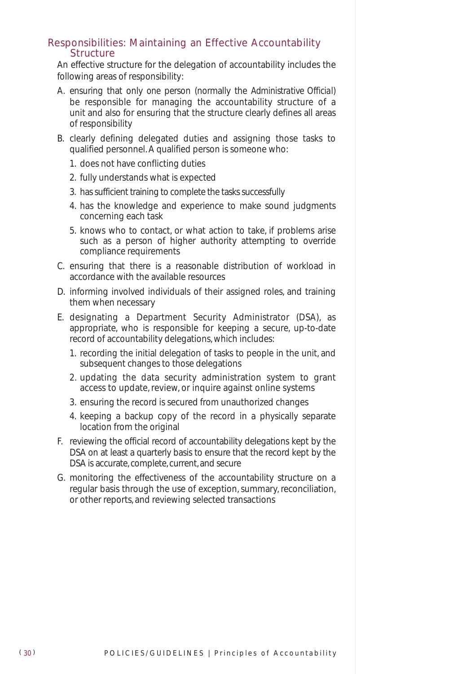#### Responsibilities: Maintaining an Effective Accountability **Structure**

An effective structure for the delegation of accountability includes the following areas of responsibility:

- A. ensuring that only *one* person (normally the *Administrative Official*) be responsible for managing the accountability structure of a unit and also for ensuring that the structure clearly defines all areas of responsibility
- B. clearly defining delegated duties and assigning those tasks to qualified personnel. A qualified person is someone who:
	- 1. does not have conflicting duties
	- 2. fully understands what is expected
	- 3. has sufficient training to complete the tasks successfully
	- 4. has the knowledge and experience to make sound judgments concerning each task
	- 5. knows who to contact, or what action to take, if problems arise such as a person of higher authority attempting to override compliance requirements
- C. ensuring that there is a reasonable distribution of workload in accordance with the available resources
- D. informing involved individuals of their assigned roles, and training them when necessary
- E. designating a Department Security Administrator (DSA), as appropriate, who is responsible for keeping a secure, up-to-date record of accountability delegations, which includes:
	- 1. recording the initial delegation of tasks to people in the unit, and subsequent changes to those delegations
	- 2. updating the data security administration system to grant access to update, review, or inquire against online systems
	- 3. ensuring the record is secured from unauthorized changes
	- 4. keeping a backup copy of the record in a physically separate location from the original
- F. reviewing the official record of accountability delegations kept by the DSA on at least a quarterly basis to ensure that the record kept by the DSA is accurate, complete, current, and secure
- G. monitoring the effectiveness of the accountability structure on a regular basis through the use of exception, summary, reconciliation, or other reports, and reviewing selected transactions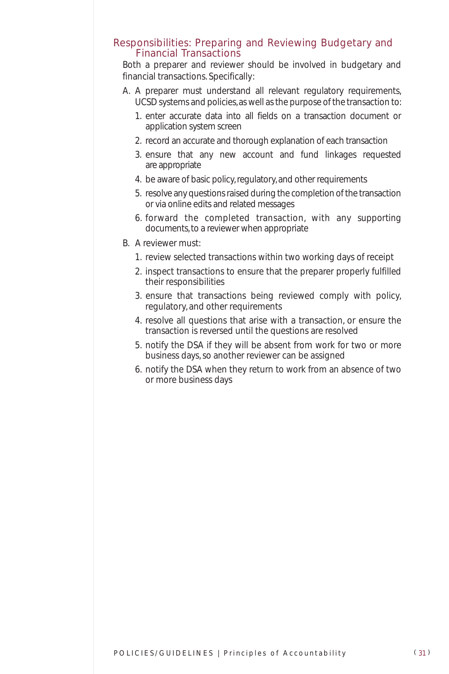#### Responsibilities: Preparing and Reviewing Budgetary and Financial Transactions

Both a preparer and reviewer should be involved in budgetary and financial transactions. Specifically:

- A. A preparer must understand all relevant regulatory requirements, UCSD systems and policies, as well as the purpose of the transaction to:
	- 1. enter accurate data into all fields on a transaction document or application system screen
	- 2. record an accurate and thorough explanation of each transaction
	- 3. ensure that any new account and fund linkages requested are appropriate
	- 4. be aware of basic policy, regulatory, and other requirements
	- 5. resolve any questions raised during the completion of the transaction or via online edits and related messages
	- 6. forward the completed transaction, with any supporting documents, to a reviewer when appropriate
- B. A reviewer must:
	- 1. review selected transactions within two working days of receipt
	- 2. inspect transactions to ensure that the preparer properly fulfilled their responsibilities
	- 3. ensure that transactions being reviewed comply with policy, regulatory, and other requirements
	- 4. resolve all questions that arise with a transaction, or ensure the transaction is reversed until the questions are resolved
	- 5. notify the DSA if they will be absent from work for two or more business days, so another reviewer can be assigned
	- 6. notify the DSA when they return to work from an absence of two or more business days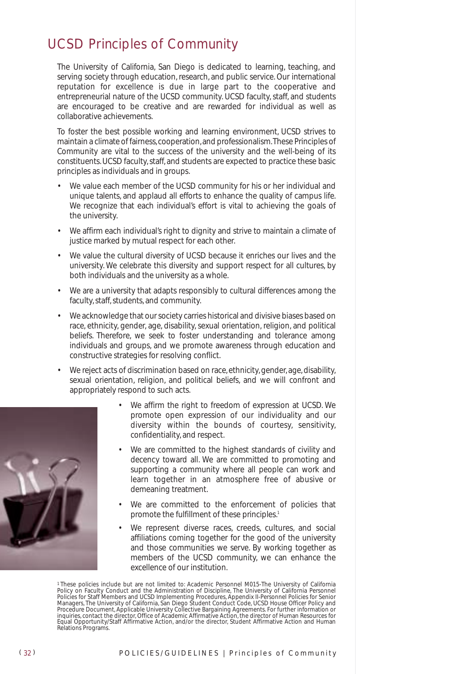### UCSD Principles of Community

The University of California, San Diego is dedicated to learning, teaching, and serving society through education, research, and public service. Our international reputation for excellence is due in large part to the cooperative and entrepreneurial nature of the UCSD community. UCSD faculty, staff, and students are encouraged to be creative and are rewarded for individual as well as collaborative achievements.

To foster the best possible working and learning environment, UCSD strives to maintain a climate of fairness,cooperation,and professionalism.These Principles of Community are vital to the success of the university and the well-being of its constituents. UCSD faculty, staff, and students are expected to practice these basic principles as individuals and in groups.

- We value each member of the UCSD community for his or her individual and unique talents, and applaud all efforts to enhance the quality of campus life. We recognize that each individual's effort is vital to achieving the goals of the university.
- We affirm each individual's right to dignity and strive to maintain a climate of justice marked by mutual respect for each other.
- We value the cultural diversity of UCSD because it enriches our lives and the university. We celebrate this diversity and support respect for all cultures, by both individuals and the university as a whole.
- We are a university that adapts responsibly to cultural differences among the faculty, staff, students, and community.
- We acknowledge that our society carries historical and divisive biases based on race, ethnicity, gender, age, disability, sexual orientation, religion, and political beliefs. Therefore, we seek to foster understanding and tolerance among individuals and groups, and we promote awareness through education and constructive strategies for resolving conflict.
- We reject acts of discrimination based on race, ethnicity, gender, age, disability, sexual orientation, religion, and political beliefs, and we will confront and appropriately respond to such acts.



- We affirm the right to freedom of expression at UCSD. We promote open expression of our individuality and our diversity within the bounds of courtesy, sensitivity, confidentiality, and respect.
- We are committed to the highest standards of civility and decency toward all. We are committed to promoting and supporting a community where all people can work and learn together in an atmosphere free of abusive or demeaning treatment.
- We are committed to the enforcement of policies that promote the fulfillment of these principles.<sup>1</sup>
- We represent diverse races, creeds, cultures, and social affiliations coming together for the good of the university and those communities we serve. By working together as members of the UCSD community, we can enhance the excellence of our institution.

<sup>&</sup>lt;sup>1</sup>These policies include but are not limited to: Academic Personnel M015-The University of California<br>Policy on Faculty Conduct and the Administration of Discipline, The University of California Personnel<br>Policies for Sta Equal Opportunity/Staff Affirmative Action, and/or the director, Student Affirmative Action and Human Relations Programs.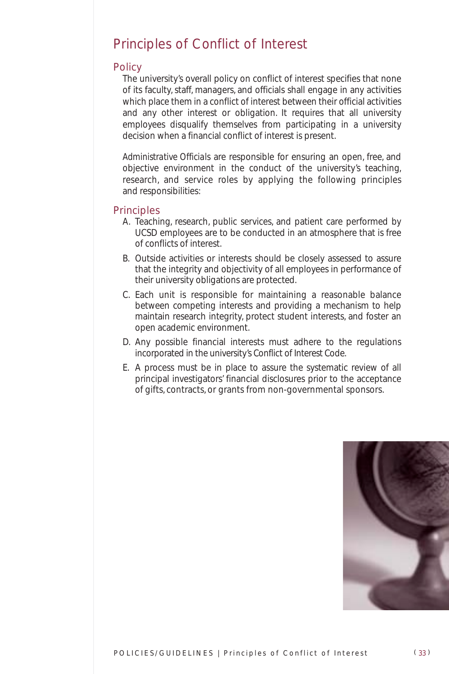### Principles of Conflict of Interest

#### **Policy**

The university's overall policy on conflict of interest specifies that none of its faculty, staff, managers, and officials shall engage in any activities which place them in a conflict of interest between their official activities and any other interest or obligation. It requires that all university employees disqualify themselves from participating in a university decision when a financial conflict of interest is present.

*Administrative Officials* are responsible for ensuring an open, free, and objective environment in the conduct of the university's teaching, research, and service roles by applying the following principles and responsibilities:

#### Principles

- A. Teaching, research, public services, and patient care performed by UCSD employees are to be conducted in an atmosphere that is free of conflicts of interest.
- B. Outside activities or interests should be closely assessed to assure that the integrity and objectivity of all employees in performance of their university obligations are protected.
- C. Each unit is responsible for maintaining a reasonable balance between competing interests and providing a mechanism to help maintain research integrity, protect student interests, and foster an open academic environment.
- D. Any possible financial interests must adhere to the regulations incorporated in the university's Conflict of Interest Code.
- E. A process must be in place to assure the systematic review of all principal investigators' financial disclosures prior to the acceptance of gifts, contracts, or grants from non-governmental sponsors.

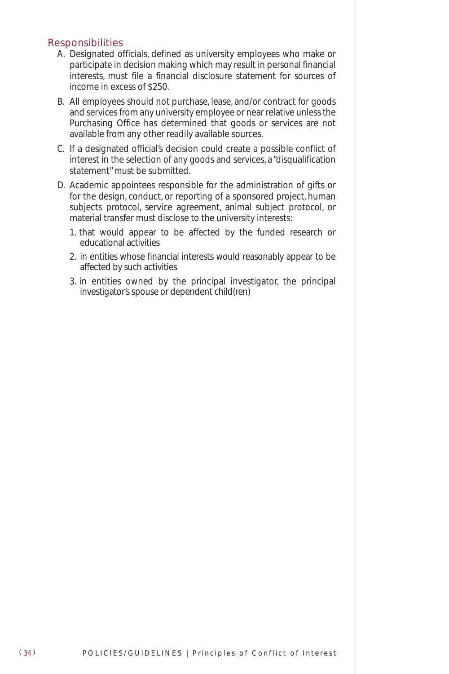#### **Responsibilities**

- A. Designated officials, defined as university employees who make or participate in decision making which may result in personal financial interests, must file a financial disclosure statement for sources of income in excess of \$250.
- B. All employees should not purchase, lease, and/or contract for goods and services from any university employee or near relative unless the Purchasing Office has determined that goods or services are not available from any other readily available sources.
- C. If a designated official's decision could create a possible conflict of interest in the selection of any goods and services, a "disqualification statement" must be submitted.
- D. Academic appointees responsible for the administration of gifts or for the design, conduct, or reporting of a sponsored project, human subjects protocol, service agreement, animal subject protocol, or material transfer must disclose to the university interests:
	- 1. that would appear to be affected by the funded research or educational activities
	- 2. in entities whose financial interests would reasonably appear to be affected by such activities
	- 3. in entities owned by the principal investigator, the principal investigator's spouse or dependent child(ren)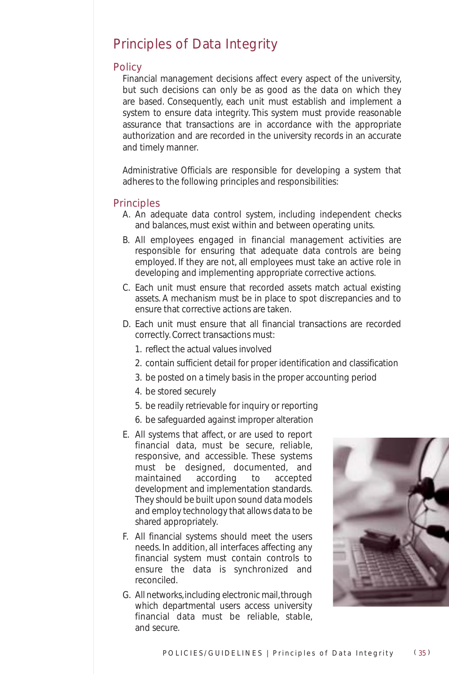### Principles of Data Integrity

#### **Policy**

Financial management decisions affect every aspect of the university, but such decisions can only be as good as the data on which they are based. Consequently, each unit must establish and implement a system to ensure data integrity. This system must provide reasonable assurance that transactions are in accordance with the appropriate authorization and are recorded in the university records in an accurate and timely manner.

*Administrative Officials* are responsible for developing a system that adheres to the following principles and responsibilities:

#### **Principles**

- A. An adequate data control system, including independent checks and balances, must exist within and between operating units.
- B. All employees engaged in financial management activities are responsible for ensuring that adequate data controls are being employed. If they are not, all employees must take an active role in developing and implementing appropriate corrective actions.
- C. Each unit must ensure that recorded assets match actual existing assets. A mechanism must be in place to spot discrepancies and to ensure that corrective actions are taken.
- D. Each unit must ensure that all financial transactions are recorded correctly. Correct transactions must:
	- 1. reflect the actual values involved
	- 2. contain sufficient detail for proper identification and classification
	- 3. be posted on a timely basis in the proper accounting period
	- 4. be stored securely
	- 5. be readily retrievable for inquiry or reporting
	- 6. be safeguarded against improper alteration
- E. All systems that affect, or are used to report financial data, must be secure, reliable, responsive, and accessible. These systems must be designed, documented, and maintained according to accepted development and implementation standards. They should be built upon sound data models and employ technology that allows data to be shared appropriately.
- F. All financial systems should meet the users needs. In addition, all interfaces affecting any financial system must contain controls to ensure the data is synchronized and reconciled.
- G. All networks, including electronic mail, through which departmental users access university financial data must be reliable, stable, and secure.

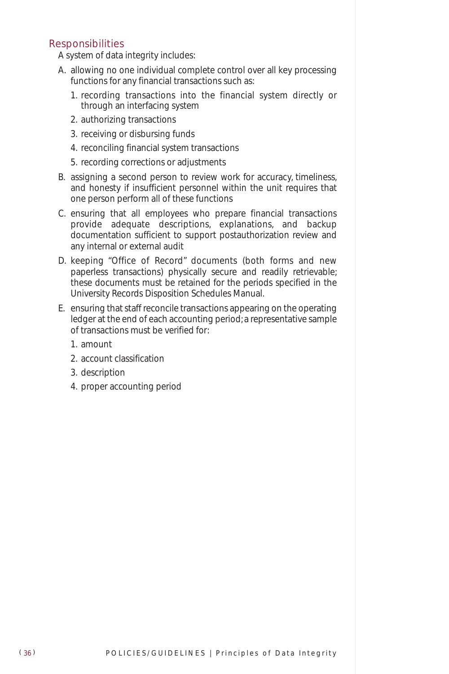#### Responsibilities

A system of data integrity includes:

- A. allowing no one individual complete control over all key processing functions for any financial transactions such as:
	- 1. recording transactions into the financial system directly or through an interfacing system
	- 2. authorizing transactions
	- 3. receiving or disbursing funds
	- 4. reconciling financial system transactions
	- 5. recording corrections or adjustments
- B. assigning a second person to review work for accuracy, timeliness, and honesty if insufficient personnel within the unit requires that one person perform all of these functions
- C. ensuring that all employees who prepare financial transactions provide adequate descriptions, explanations, and backup documentation sufficient to support postauthorization review and any internal or external audit
- D. keeping "Office of Record" documents (both forms and new paperless transactions) physically secure and readily retrievable; these documents must be retained for the periods specified in the University Records Disposition Schedules Manual.
- E. ensuring that staff reconcile transactions appearing on the operating ledger at the end of each accounting period; a representative sample of transactions must be verified for:
	- 1. amount
	- 2. account classification
	- 3. description
	- 4. proper accounting period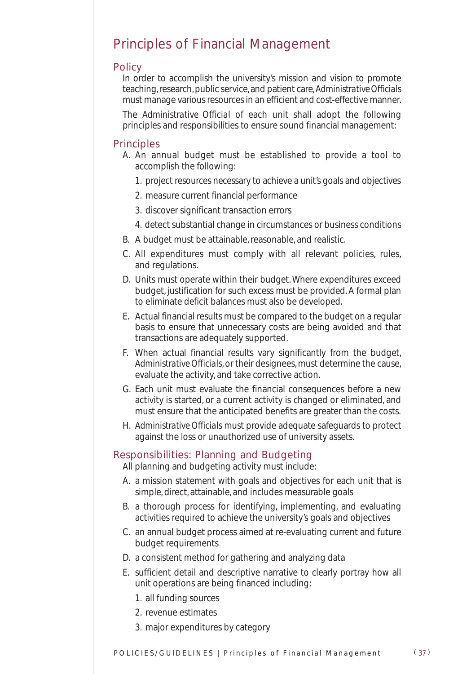### Principles of Financial Management

#### **Policy**

In order to accomplish the university's mission and vision to promote teaching, research, public service, and patient care,*Administrative Officials* must manage various resources in an efficient and cost-effective manner.

The *Administrative Official* of each unit shall adopt the following principles and responsibilities to ensure sound financial management:

#### Principles

- A. An annual budget must be established to provide a tool to accomplish the following:
	- 1. project resources necessary to achieve a unit's goals and objectives
	- 2. measure current financial performance
	- 3. discover significant transaction errors
	- 4. detect substantial change in circumstances or business conditions
- B. A budget must be attainable, reasonable, and realistic.
- C. All expenditures must comply with all relevant policies, rules, and regulations.
- D. Units must operate within their budget. Where expenditures exceed budget, justification for such excess must be provided. A formal plan to eliminate deficit balances must also be developed.
- E. Actual financial results must be compared to the budget on a regular basis to ensure that unnecessary costs are being avoided and that transactions are adequately supported.
- F. When actual financial results vary significantly from the budget, *Administrative Officials*, or their designees, must determine the cause, evaluate the activity, and take corrective action.
- G. Each unit must evaluate the financial consequences before a new activity is started, or a current activity is changed or eliminated, and must ensure that the anticipated benefits are greater than the costs.
- H. *Administrative Officials* must provide adequate safeguards to protect against the loss or unauthorized use of university assets.

#### Responsibilities: Planning and Budgeting

All planning and budgeting activity must include:

- A. a mission statement with goals and objectives for each unit that is simple, direct, attainable, and includes measurable goals
- B. a thorough process for identifying, implementing, and evaluating activities required to achieve the university's goals and objectives
- C. an annual budget process aimed at re-evaluating current and future budget requirements
- D. a consistent method for gathering and analyzing data
- E. sufficient detail and descriptive narrative to clearly portray how all unit operations are being financed including:
	- 1. all funding sources
	- 2. revenue estimates
	- 3. major expenditures by category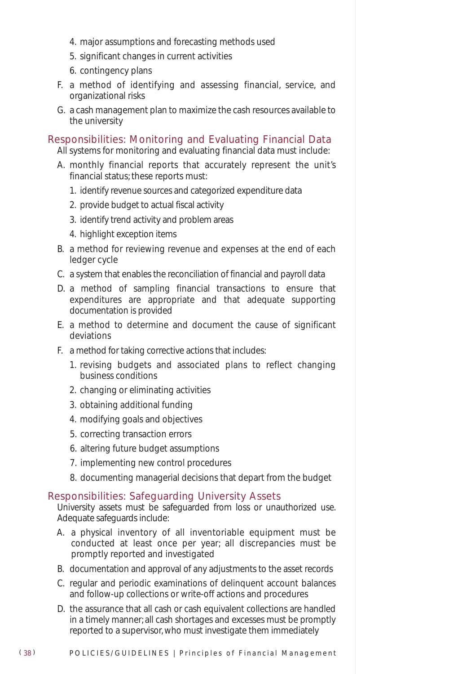- 4. major assumptions and forecasting methods used
- 5. significant changes in current activities
- 6. contingency plans
- F. a method of identifying and assessing financial, service, and organizational risks
- G. a cash management plan to maximize the cash resources available to the university

#### Responsibilities: Monitoring and Evaluating Financial Data

All systems for monitoring and evaluating financial data must include:

- A. monthly financial reports that accurately represent the unit's financial status; these reports must:
	- 1. identify revenue sources and categorized expenditure data
	- 2. provide budget to actual fiscal activity
	- 3. identify trend activity and problem areas
	- 4. highlight exception items
- B. a method for reviewing revenue and expenses at the end of each ledger cycle
- C. a system that enables the reconciliation of financial and payroll data
- D. a method of sampling financial transactions to ensure that expenditures are appropriate and that adequate supporting documentation is provided
- E. a method to determine and document the cause of significant deviations
- F. a method for taking corrective actions that includes:
	- 1. revising budgets and associated plans to reflect changing business conditions
	- 2. changing or eliminating activities
	- 3. obtaining additional funding
	- 4. modifying goals and objectives
	- 5. correcting transaction errors
	- 6. altering future budget assumptions
	- 7. implementing new control procedures
	- 8. documenting managerial decisions that depart from the budget

#### Responsibilities: Safeguarding University Assets

University assets must be safeguarded from loss or unauthorized use. Adequate safeguards include:

- A. a physical inventory of all inventoriable equipment must be conducted at least once per year; all discrepancies must be promptly reported and investigated
- B. documentation and approval of any adjustments to the asset records
- C. regular and periodic examinations of delinquent account balances and follow-up collections or write-off actions and procedures
- D. the assurance that all cash or cash equivalent collections are handled in a timely manner; all cash shortages and excesses must be promptly reported to a supervisor, who must investigate them immediately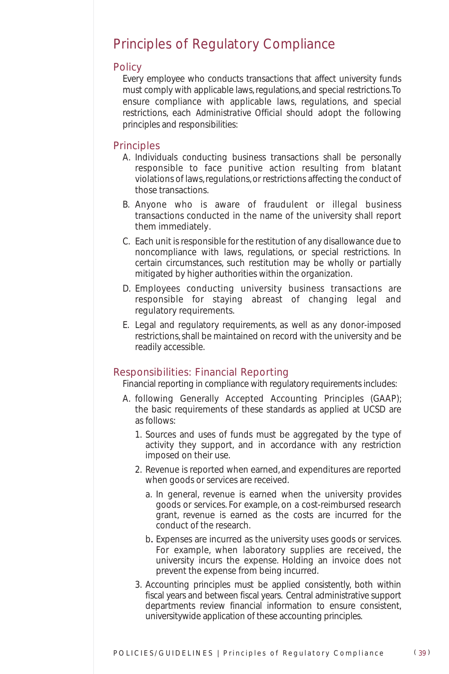### Principles of Regulatory Compliance

#### **Policy**

Every employee who conducts transactions that affect university funds must comply with applicable laws, regulations, and special restrictions. To ensure compliance with applicable laws, regulations, and special restrictions, each *Administrative Official* should adopt the following principles and responsibilities:

#### **Principles**

- A. Individuals conducting business transactions shall be personally responsible to face punitive action resulting from blatant violations of laws, regulations, or restrictions affecting the conduct of those transactions.
- B. Anyone who is aware of fraudulent or illegal business transactions conducted in the name of the university shall report them immediately.
- C. Each unit is responsible for the restitution of any disallowance due to noncompliance with laws, regulations, or special restrictions. In certain circumstances, such restitution may be wholly or partially mitigated by higher authorities within the organization.
- D. Employees conducting university business transactions are responsible for staying abreast of changing legal and regulatory requirements.
- E. Legal and regulatory requirements, as well as any donor-imposed restrictions, shall be maintained on record with the university and be readily accessible.

#### Responsibilities: Financial Reporting

Financial reporting in compliance with regulatory requirements includes:

- A. following Generally Accepted Accounting Principles (GAAP); the basic requirements of these standards as applied at UCSD are as follows:
	- 1. Sources and uses of funds must be aggregated by the type of activity they support, and in accordance with any restriction imposed on their use.
	- 2. Revenue is reported when earned, and expenditures are reported when goods or services are received.
		- a. In general, revenue is earned when the university provides goods or services. For example, on a cost-reimbursed research grant, revenue is earned as the costs are incurred for the conduct of the research.
		- b. Expenses are incurred as the university uses goods or services. For example, when laboratory supplies are received, the university incurs the expense. Holding an invoice does not prevent the expense from being incurred.
	- 3. Accounting principles must be applied consistently, both within fiscal years and between fiscal years. Central administrative support departments review financial information to ensure consistent, universitywide application of these accounting principles.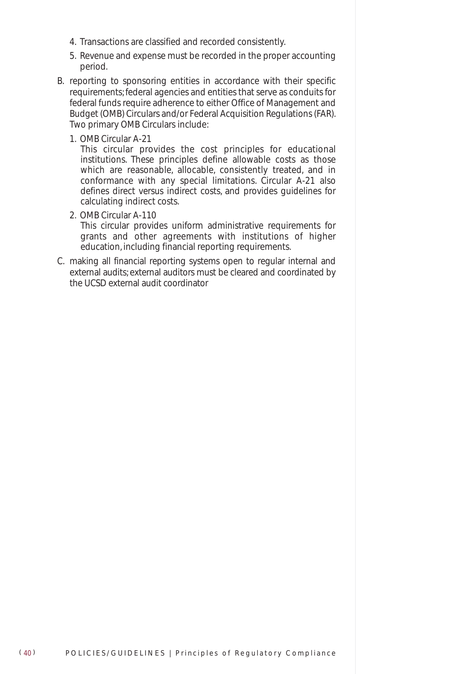- 4. Transactions are classified and recorded consistently.
- 5. Revenue and expense must be recorded in the proper accounting period.
- B. reporting to sponsoring entities in accordance with their specific requirements; federal agencies and entities that serve as conduits for federal funds require adherence to either Office of Management and Budget (OMB) Circulars and/or Federal Acquisition Regulations (FAR). Two primary OMB Circulars include:
	- 1. OMB Circular A-21

This circular provides the cost principles for educational institutions. These principles define allowable costs as those which are reasonable, allocable, consistently treated, and in conformance with any special limitations. Circular A-21 also defines direct versus indirect costs, and provides guidelines for calculating indirect costs.

2. OMB Circular A-110

This circular provides uniform administrative requirements for grants and other agreements with institutions of higher education, including financial reporting requirements.

C. making all financial reporting systems open to regular internal and external audits; external auditors must be cleared and coordinated by the UCSD external audit coordinator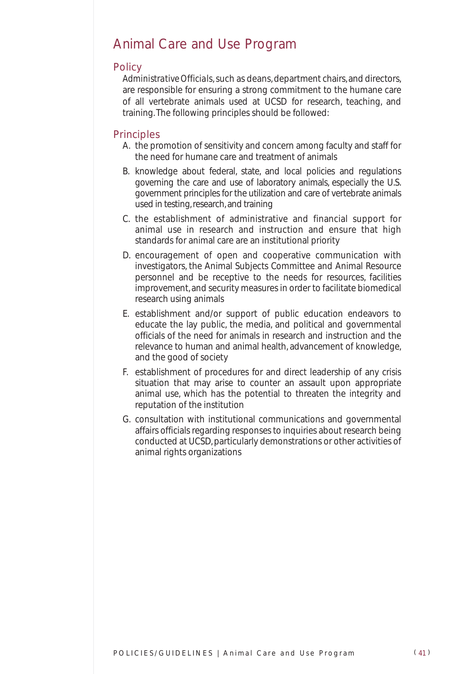### Animal Care and Use Program

#### **Policy**

Administrative Officials, such as deans, department chairs, and directors, are responsible for ensuring a strong commitment to the humane care of all vertebrate animals used at UCSD for research, teaching, and training. The following principles should be followed:

#### **Principles**

- A. the promotion of sensitivity and concern among faculty and staff for the need for humane care and treatment of animals
- B. knowledge about federal, state, and local policies and regulations governing the care and use of laboratory animals, especially the U.S. government principles for the utilization and care of vertebrate animals used in testing, research, and training
- C. the establishment of administrative and financial support for animal use in research and instruction and ensure that high standards for animal care are an institutional priority
- D. encouragement of open and cooperative communication with investigators, the Animal Subjects Committee and Animal Resource personnel and be receptive to the needs for resources, facilities improvement, and security measures in order to facilitate biomedical research using animals
- E. establishment and/or support of public education endeavors to educate the lay public, the media, and political and governmental officials of the need for animals in research and instruction and the relevance to human and animal health, advancement of knowledge, and the good of society
- F. establishment of procedures for and direct leadership of any crisis situation that may arise to counter an assault upon appropriate animal use, which has the potential to threaten the integrity and reputation of the institution
- G. consultation with institutional communications and governmental affairs officials regarding responses to inquiries about research being conducted at UCSD, particularly demonstrations or other activities of animal rights organizations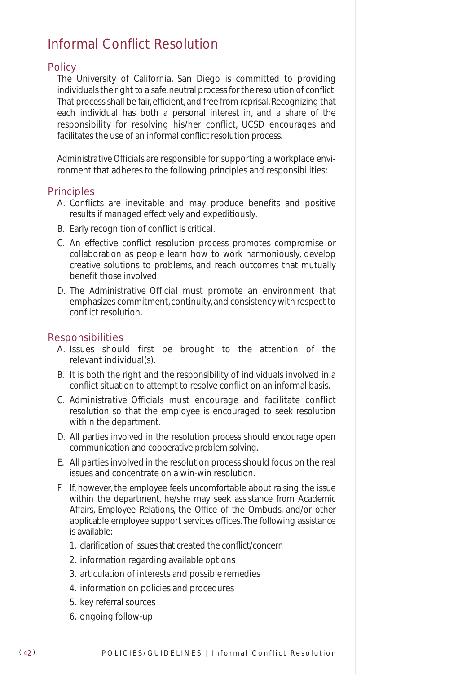### Informal Conflict Resolution

#### **Policy**

The University of California, San Diego is committed to providing individuals the right to a safe, neutral process for the resolution of conflict. That process shall be fair, efficient, and free from reprisal. Recognizing that each individual has both a personal interest in, and a share of the responsibility for resolving his/her conflict, UCSD encourages and facilitates the use of an informal conflict resolution process.

*Administrative Officials* are responsible for supporting a workplace environment that adheres to the following principles and responsibilities:

#### **Principles**

- A. Conflicts are inevitable and may produce benefits and positive results if managed effectively and expeditiously.
- B. Early recognition of conflict is critical.
- C. An effective conflict resolution process promotes compromise or collaboration as people learn how to work harmoniously, develop creative solutions to problems, and reach outcomes that mutually benefit those involved.
- D. The *Administrative Official* must promote an environment that emphasizes commitment, continuity, and consistency with respect to conflict resolution.

#### Responsibilities

- A. Issues should first be brought to the attention of the relevant individual(s).
- B. It is both the right and the responsibility of individuals involved in a conflict situation to attempt to resolve conflict on an informal basis.
- C. *Administrative Officials* must encourage and facilitate conflict resolution so that the employee is encouraged to seek resolution within the department.
- D. All parties involved in the resolution process should encourage open communication and cooperative problem solving.
- E. All parties involved in the resolution process should focus on the real issues and concentrate on a win-win resolution.
- F. If, however, the employee feels uncomfortable about raising the issue within the department, he/she may seek assistance from Academic Affairs, Employee Relations, the Office of the Ombuds, and/or other applicable employee support services offices. The following assistance is available:
	- 1. clarification of issues that created the conflict/concern
	- 2. information regarding available options
	- 3. articulation of interests and possible remedies
	- 4. information on policies and procedures
	- 5. key referral sources
	- 6. ongoing follow-up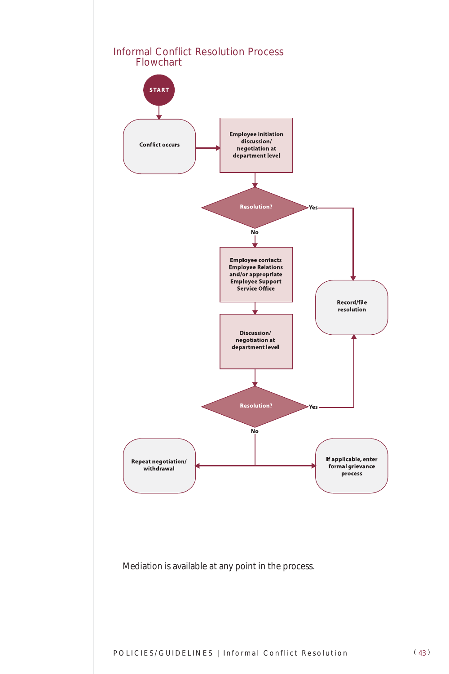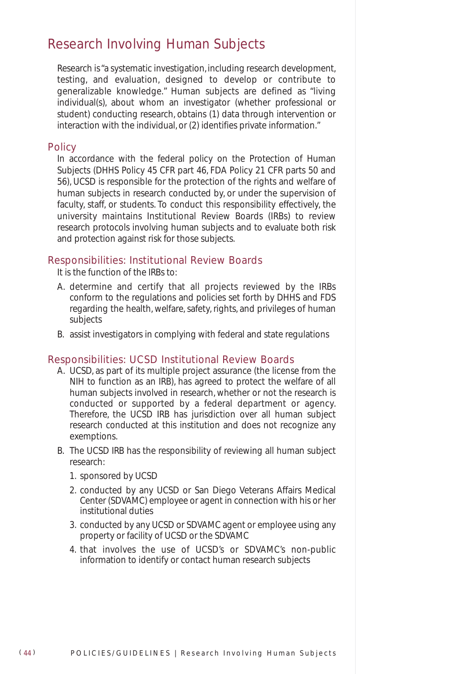### Research Involving Human Subjects

Research is "a systematic investigation, including research development, testing, and evaluation, designed to develop or contribute to generalizable knowledge." Human subjects are defined as "living individual(s), about whom an investigator (whether professional or student) conducting research, obtains (1) data through intervention or interaction with the individual, or (2) identifies private information."

#### **Policy**

In accordance with the federal policy on the Protection of Human Subjects (DHHS Policy 45 CFR part 46, FDA Policy 21 CFR parts 50 and 56), UCSD is responsible for the protection of the rights and welfare of human subjects in research conducted by, or under the supervision of faculty, staff, or students. To conduct this responsibility effectively, the university maintains Institutional Review Boards (IRBs) to review research protocols involving human subjects and to evaluate both risk and protection against risk for those subjects.

#### Responsibilities: Institutional Review Boards

It is the function of the IRBs to:

- A. determine and certify that all projects reviewed by the IRBs conform to the regulations and policies set forth by DHHS and FDS regarding the health, welfare, safety, rights, and privileges of human subjects
- B. assist investigators in complying with federal and state regulations

#### Responsibilities: UCSD Institutional Review Boards

- A. UCSD, as part of its multiple project assurance (the license from the NIH to function as an IRB), has agreed to protect the welfare of all human subjects involved in research, whether or not the research is conducted or supported by a federal department or agency. Therefore, the UCSD IRB has jurisdiction over all human subject research conducted at this institution and does not recognize any exemptions.
- B. The UCSD IRB has the responsibility of reviewing all human subject research:
	- 1. sponsored by UCSD
	- 2. conducted by any UCSD or San Diego Veterans Affairs Medical Center (SDVAMC) employee or agent in connection with his or her institutional duties
	- 3. conducted by any UCSD or SDVAMC agent or employee using any property or facility of UCSD or the SDVAMC
	- 4. that involves the use of UCSD's or SDVAMC's non-public information to identify or contact human research subjects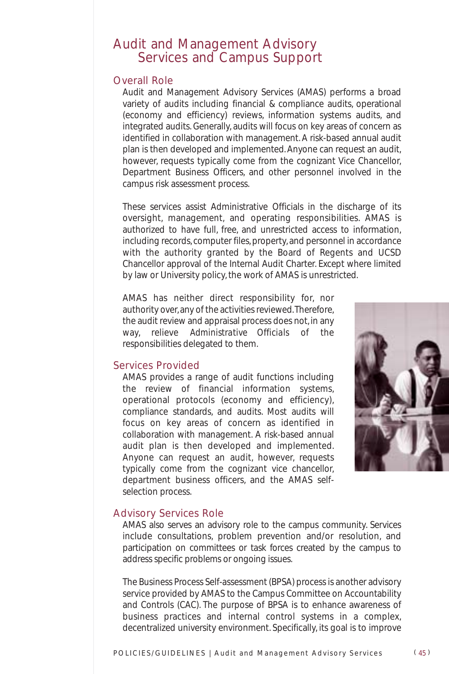### Audit and Management Advisory Services and Campus Support

#### Overall Role

Audit and Management Advisory Services (AMAS) performs a broad variety of audits including financial & compliance audits, operational (economy and efficiency) reviews, information systems audits, and integrated audits. Generally, audits will focus on key areas of concern as identified in collaboration with management. A risk-based annual audit plan is then developed and implemented. Anyone can request an audit, however, requests typically come from the cognizant Vice Chancellor, Department Business Officers, and other personnel involved in the campus risk assessment process.

These services assist Administrative Officials in the discharge of its oversight, management, and operating responsibilities. AMAS is authorized to have full, free, and unrestricted access to information, including records, computer files, property, and personnel in accordance with the authority granted by the Board of Regents and UCSD Chancellor approval of the Internal Audit Charter. Except where limited by law or University policy, the work of AMAS is unrestricted.

AMAS has neither direct responsibility for, nor authority over, any of the activities reviewed.Therefore, the audit review and appraisal process does not, in any way, relieve *Administrative Officials* of the responsibilities delegated to them.

#### Services Provided

AMAS provides a range of audit functions including the review of financial information systems, operational protocols (economy and efficiency), compliance standards, and audits. Most audits will focus on key areas of concern as identified in collaboration with management. A risk-based annual audit plan is then developed and implemented. Anyone can request an audit, however, requests typically come from the cognizant vice chancellor, department business officers, and the AMAS selfselection process.



#### Advisory Services Role

AMAS also serves an advisory role to the campus community. Services include consultations, problem prevention and/or resolution, and participation on committees or task forces created by the campus to address specific problems or ongoing issues.

The Business Process Self-assessment (BPSA) process is another advisory service provided by AMAS to the Campus Committee on Accountability and Controls (CAC). The purpose of BPSA is to enhance awareness of business practices and internal control systems in a complex, decentralized university environment. Specifically, its goal is to improve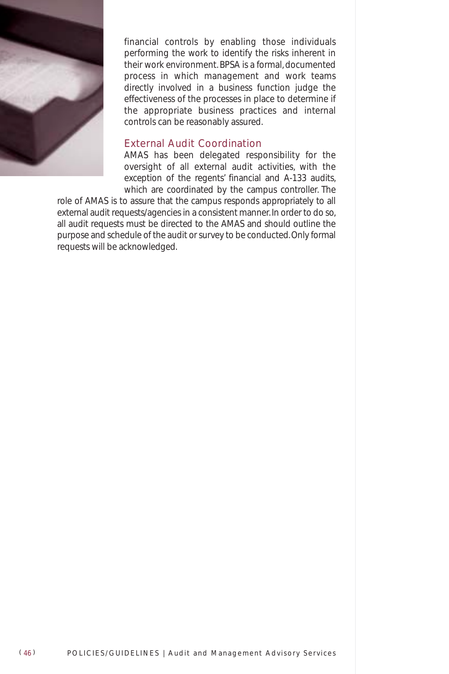

financial controls by enabling those individuals performing the work to identify the risks inherent in their work environment. BPSA is a formal, documented process in which management and work teams directly involved in a business function judge the effectiveness of the processes in place to determine if the appropriate business practices and internal controls can be reasonably assured.

#### External Audit Coordination

AMAS has been delegated responsibility for the oversight of all external audit activities, with the exception of the regents' financial and A-133 audits, which are coordinated by the campus controller. The

role of AMAS is to assure that the campus responds appropriately to all external audit requests/agencies in a consistent manner. In order to do so, all audit requests must be directed to the AMAS and should outline the purpose and schedule of the audit or survey to be conducted. Only formal requests will be acknowledged.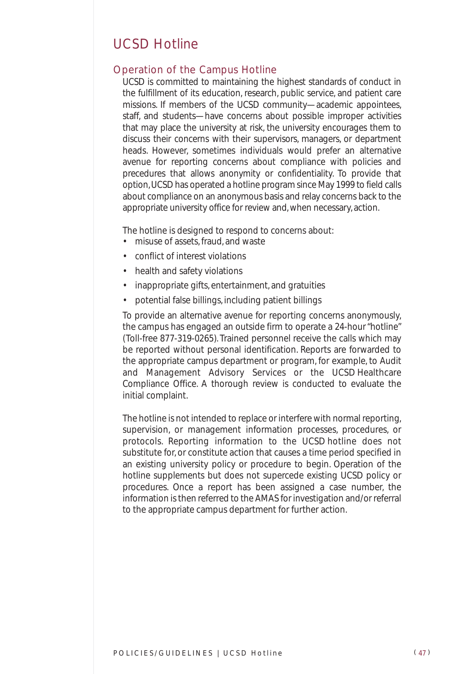### UCSD Hotline

#### Operation of the Campus Hotline

UCSD is committed to maintaining the highest standards of conduct in the fulfillment of its education, research, public service, and patient care missions. If members of the UCSD community—academic appointees, staff, and students—have concerns about possible improper activities that may place the university at risk, the university encourages them to discuss their concerns with their supervisors, managers, or department heads. However, sometimes individuals would prefer an alternative avenue for reporting concerns about compliance with policies and precedures that allows anonymity or confidentiality. To provide that option, UCSD has operated a hotline program since May 1999 to field calls about compliance on an anonymous basis and relay concerns back to the appropriate university office for review and, when necessary, action.

The hotline is designed to respond to concerns about:

- misuse of assets, fraud, and waste
- conflict of interest violations
- health and safety violations
- inappropriate gifts, entertainment, and gratuities
- potential false billings, including patient billings

To provide an alternative avenue for reporting concerns anonymously, the campus has engaged an outside firm to operate a 24-hour "hotline" (Toll-free 877-319-0265). Trained personnel receive the calls which may be reported without personal identification. Reports are forwarded to the appropriate campus department or program, for example, to Audit and Management Advisory Services or the UCSD Healthcare Compliance Office. A thorough review is conducted to evaluate the initial complaint.

The hotline is not intended to replace or interfere with normal reporting, supervision, or management information processes, procedures, or protocols. Reporting information to the UCSD hotline does not substitute for, or constitute action that causes a time period specified in an existing university policy or procedure to begin. Operation of the hotline supplements but does not supercede existing UCSD policy or procedures. Once a report has been assigned a case number, the information is then referred to the AMAS for investigation and/or referral to the appropriate campus department for further action.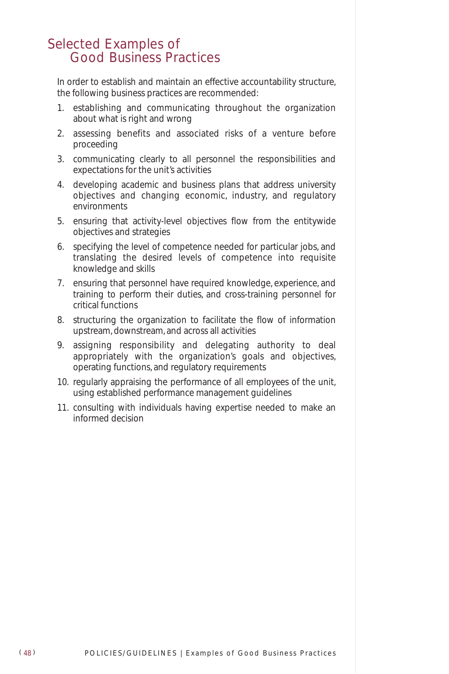### Selected Examples of Good Business Practices

In order to establish and maintain an effective accountability structure, the following business practices are recommended:

- 1. establishing and communicating throughout the organization about what is right and wrong
- 2. assessing benefits and associated risks of a venture before proceeding
- 3. communicating clearly to all personnel the responsibilities and expectations for the unit's activities
- 4. developing academic and business plans that address university objectives and changing economic, industry, and regulatory environments
- 5. ensuring that activity-level objectives flow from the entitywide objectives and strategies
- 6. specifying the level of competence needed for particular jobs, and translating the desired levels of competence into requisite knowledge and skills
- 7. ensuring that personnel have required knowledge, experience, and training to perform their duties, and cross-training personnel for critical functions
- 8. structuring the organization to facilitate the flow of information upstream, downstream, and across all activities
- 9. assigning responsibility and delegating authority to deal appropriately with the organization's goals and objectives, operating functions, and regulatory requirements
- 10. regularly appraising the performance of all employees of the unit, using established performance management guidelines
- 11. consulting with individuals having expertise needed to make an informed decision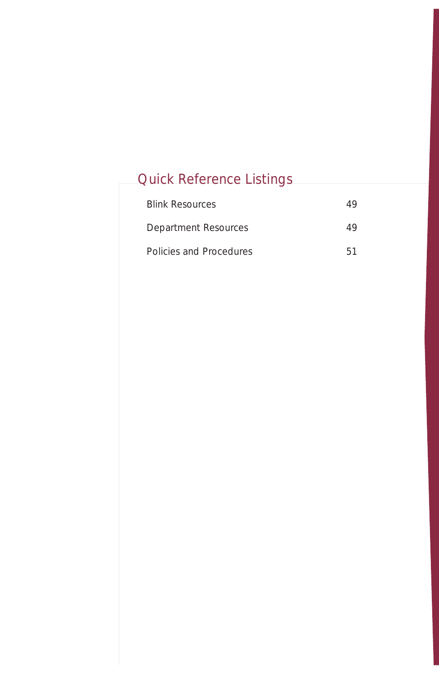# Quick Reference Listings

| <b>Blink Resources</b>  | 49 |
|-------------------------|----|
| Department Resources    | 49 |
| Policies and Procedures | 51 |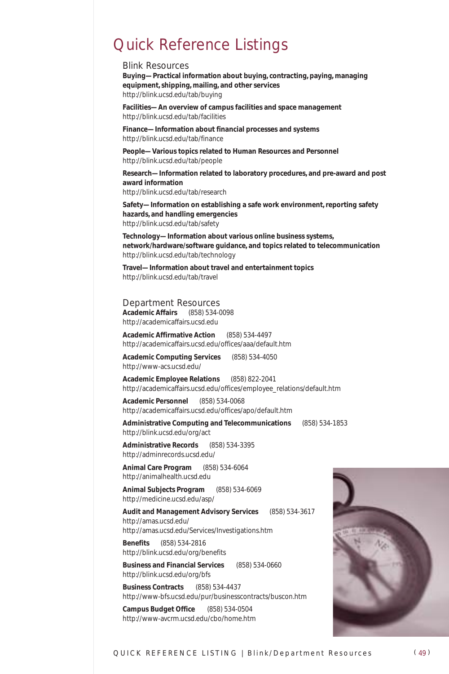## Quick Reference Listings

#### *Blink Resources*

**Buying—Practical information about buying, contracting, paying, managing equipment, shipping, mailing, and other services** http://blink.ucsd.edu/tab/buying

**Facilities—An overview of campus facilities and space management** http://blink.ucsd.edu/tab/facilities

**Finance—Information about financial processes and systems** http://blink.ucsd.edu/tab/finance

**People—Various topics related to Human Resources and Personnel**  http://blink.ucsd.edu/tab/people

**Research—Information related to laboratory procedures, and pre-award and post award information** http://blink.ucsd.edu/tab/research

**Safety—Information on establishing a safe work environment, reporting safety hazards, and handling emergencies** http://blink.ucsd.edu/tab/safety

**Technology—Information about various online business systems, network/hardware/software guidance, and topics related to telecommunication** http://blink.ucsd.edu/tab/technology

**Travel—Information about travel and entertainment topics** http://blink.ucsd.edu/tab/travel

*Department Resources* **Academic Affairs** (858) 534-0098 http://academicaffairs.ucsd.edu

**Academic Affirmative Action** (858) 534-4497 http://academicaffairs.ucsd.edu/offices/aaa/default.htm

**Academic Computing Services** (858) 534-4050 http://www-acs.ucsd.edu/

**Academic Employee Relations** (858) 822-2041 http://academicaffairs.ucsd.edu/offices/employee\_relations/default.htm

**Academic Personnel** (858) 534-0068 http://academicaffairs.ucsd.edu/offices/apo/default.htm

**Administrative Computing and Telecommunications** (858) 534-1853 http://blink.ucsd.edu/org/act

**Administrative Records** (858) 534-3395 http://adminrecords.ucsd.edu/

**Animal Care Program** (858) 534-6064 http://animalhealth.ucsd.edu

**Animal Subjects Program** (858) 534-6069 http://medicine.ucsd.edu/asp/

**Audit and Management Advisory Services** (858) 534-3617 http://amas.ucsd.edu/ http://amas.ucsd.edu/Services/Investigations.htm

**Benefits** (858) 534-2816 http://blink.ucsd.edu/org/benefits

**Business and Financial Services** (858) 534-0660 http://blink.ucsd.edu/org/bfs

**Business Contracts** (858) 534-4437 http://www-bfs.ucsd.edu/pur/businesscontracts/buscon.htm

**Campus Budget Office** (858) 534-0504 http://www-avcrm.ucsd.edu/cbo/home.htm

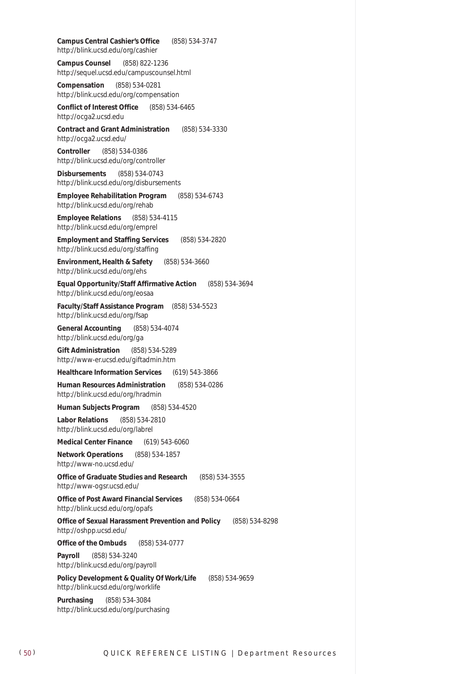**Campus Central Cashier's Office** (858) 534-3747 http://blink.ucsd.edu/org/cashier

**Campus Counsel** (858) 822-1236 http://sequel.ucsd.edu/campuscounsel.html

**Compensation** (858) 534-0281 http://blink.ucsd.edu/org/compensation

**Conflict of Interest Office** (858) 534-6465 http://ocga2.ucsd.edu

**Contract and Grant Administration** (858) 534-3330 http://ocga2.ucsd.edu/

**Controller** (858) 534-0386 http://blink.ucsd.edu/org/controller

**Disbursements** (858) 534-0743 http://blink.ucsd.edu/org/disbursements

**Employee Rehabilitation Program** (858) 534-6743 http://blink.ucsd.edu/org/rehab

**Employee Relations** (858) 534-4115 http://blink.ucsd.edu/org/emprel

**Employment and Staffing Services** (858) 534-2820 http://blink.ucsd.edu/org/staffing

**Environment, Health & Safety** (858) 534-3660 http://blink.ucsd.edu/org/ehs

**Equal Opportunity/Staff Affirmative Action** (858) 534-3694 http://blink.ucsd.edu/org/eosaa

**Faculty/Staff Assistance Program** (858) 534-5523 http://blink.ucsd.edu/org/fsap

**General Accounting** (858) 534-4074 http://blink.ucsd.edu/org/ga

**Gift Administration** (858) 534-5289 http://www-er.ucsd.edu/giftadmin.htm

**Healthcare Information Services** (619) 543-3866

**Human Resources Administration** (858) 534-0286 http://blink.ucsd.edu/org/hradmin

**Human Subjects Program** (858) 534-4520

**Labor Relations** (858) 534-2810 http://blink.ucsd.edu/org/labrel

**Medical Center Finance** (619) 543-6060

**Network Operations** (858) 534-1857 http://www-no.ucsd.edu/

**Office of Graduate Studies and Research** (858) 534-3555 http://www-ogsr.ucsd.edu/

**Office of Post Award Financial Services** (858) 534-0664 http://blink.ucsd.edu/org/opafs

**Office of Sexual Harassment Prevention and Policy** (858) 534-8298 http://oshpp.ucsd.edu/

**Office of the Ombuds** (858) 534-0777

**Payroll** (858) 534-3240 http://blink.ucsd.edu/org/payroll

**Policy Development & Quality Of Work/Life** (858) 534-9659 http://blink.ucsd.edu/org/worklife

**Purchasing** (858) 534-3084 http://blink.ucsd.edu/org/purchasing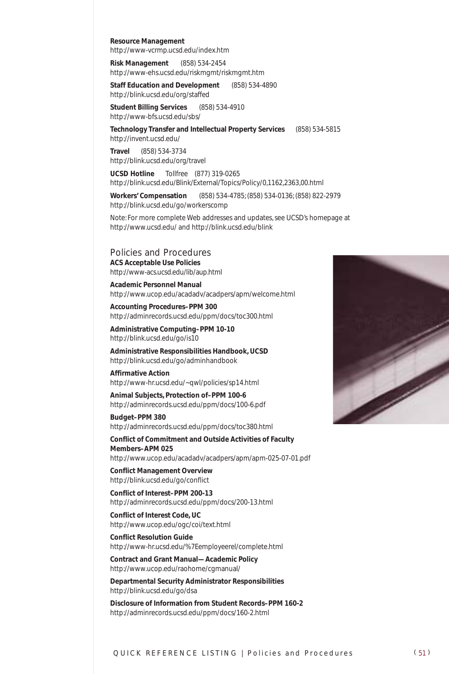**Resource Management**

http://www-vcrmp.ucsd.edu/index.htm

**Risk Management** (858) 534-2454 http://www-ehs.ucsd.edu/riskmgmt/riskmgmt.htm

**Staff Education and Development** (858) 534-4890 http://blink.ucsd.edu/org/staffed

**Student Billing Services** (858) 534-4910 http://www-bfs.ucsd.edu/sbs/

**Technology Transfer and Intellectual Property Services** (858) 534-5815 http://invent.ucsd.edu/

**Travel** (858) 534-3734 http://blink.ucsd.edu/org/travel

**UCSD Hotline** Tollfree (877) 319-0265 http://blink.ucsd.edu/Blink/External/Topics/Policy/0,1162,2363,00.html

**Workers' Compensation** (858) 534-4785; (858) 534-0136; (858) 822-2979 http://blink.ucsd.edu/go/workerscomp

Note: For more complete Web addresses and updates, see UCSD's homepage at http://www.ucsd.edu/ and http://blink.ucsd.edu/blink

*Policies and Procedures* **ACS Acceptable Use Policies** http://www-acs.ucsd.edu/lib/aup.html

**Academic Personnel Manual** http://www.ucop.edu/acadadv/acadpers/apm/welcome.html

**Accounting Procedures–PPM 300** http://adminrecords.ucsd.edu/ppm/docs/toc300.html

**Administrative Computing–PPM 10-10** http://blink.ucsd.edu/go/is10

**Administrative Responsibilities Handbook, UCSD** http://blink.ucsd.edu/go/adminhandbook

**Affirmative Action** http://www-hr.ucsd.edu/~qwl/policies/sp14.html

**Animal Subjects, Protection of–PPM 100-6** http://adminrecords.ucsd.edu/ppm/docs/100-6.pdf

**Budget–PPM 380** http://adminrecords.ucsd.edu/ppm/docs/toc380.html

**Conflict of Commitment and Outside Activities of Faculty Members–APM 025** http://www.ucop.edu/acadadv/acadpers/apm/apm-025-07-01.pdf

**Conflict Management Overview** http://blink.ucsd.edu/go/conflict

**Conflict of Interest–PPM 200-13** http://adminrecords.ucsd.edu/ppm/docs/200-13.html

**Conflict of Interest Code, UC** http://www.ucop.edu/ogc/coi/text.html

**Conflict Resolution Guide** http://www-hr.ucsd.edu/%7Eemployeerel/complete.html

**Contract and Grant Manual—Academic Policy** http://www.ucop.edu/raohome/cgmanual/

**Departmental Security Administrator Responsibilities** http://blink.ucsd.edu/go/dsa

**Disclosure of Information from Student Records–PPM 160-2** http://adminrecords.ucsd.edu/ppm/docs/160-2.html

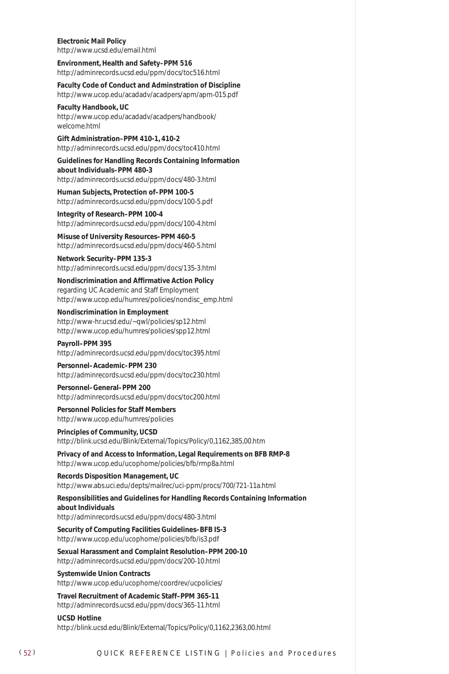**Electronic Mail Policy** http://www.ucsd.edu/email.html

**Environment, Health and Safety–PPM 516** http://adminrecords.ucsd.edu/ppm/docs/toc516.html

**Faculty Code of Conduct and Adminstration of Discipline** http://www.ucop.edu/acadadv/acadpers/apm/apm-015.pdf

**Faculty Handbook, UC**

http://www.ucop.edu/acadadv/acadpers/handbook/ welcome.html

**Gift Administration–PPM 410-1, 410-2** http://adminrecords.ucsd.edu/ppm/docs/toc410.html

**Guidelines for Handling Records Containing Information about Individuals–PPM 480-3** http://adminrecords.ucsd.edu/ppm/docs/480-3.html

**Human Subjects, Protection of–PPM 100-5** http://adminrecords.ucsd.edu/ppm/docs/100-5.pdf

**Integrity of Research–PPM 100-4** http://adminrecords.ucsd.edu/ppm/docs/100-4.html

**Misuse of University Resources–PPM 460-5** http://adminrecords.ucsd.edu/ppm/docs/460-5.html

**Network Security–PPM 135-3** http://adminrecords.ucsd.edu/ppm/docs/135-3.html

**Nondiscrimination and Affirmative Action Policy** regarding UC Academic and Staff Employment http://www.ucop.edu/humres/policies/nondisc\_emp.html

**Nondiscrimination in Employment** http://www-hr.ucsd.edu/~qwl/policies/sp12.html http://www.ucop.edu/humres/policies/spp12.html

**Payroll–PPM 395** http://adminrecords.ucsd.edu/ppm/docs/toc395.html

**Personnel–Academic–PPM 230** http://adminrecords.ucsd.edu/ppm/docs/toc230.html

**Personnel–General–PPM 200** http://adminrecords.ucsd.edu/ppm/docs/toc200.html

**Personnel Policies for Staff Members** http://www.ucop.edu/humres/policies

**Principles of Community, UCSD** http://blink.ucsd.edu/Blink/External/Topics/Policy/0,1162,385,00.htm

**Privacy of and Access to Information, Legal Requirements on BFB RMP-8** http://www.ucop.edu/ucophome/policies/bfb/rmp8a.html

**Records Disposition Management, UC** http://www.abs.uci.edu/depts/mailrec/uci-ppm/procs/700/721-11a.html

**Responsibilities and Guidelines for Handling Records Containing Information about Individuals**

http://adminrecords.ucsd.edu/ppm/docs/480-3.html **Security of Computing Facilities Guidelines–BFB IS-3** 

http://www.ucop.edu/ucophome/policies/bfb/is3.pdf

**Sexual Harassment and Complaint Resolution–PPM 200-10** http://adminrecords.ucsd.edu/ppm/docs/200-10.html

**Systemwide Union Contracts** http://www.ucop.edu/ucophome/coordrev/ucpolicies/

**Travel Recruitment of Academic Staff–PPM 365-11** http://adminrecords.ucsd.edu/ppm/docs/365-11.html

**UCSD Hotline** http://blink.ucsd.edu/Blink/External/Topics/Policy/0,1162,2363,00.html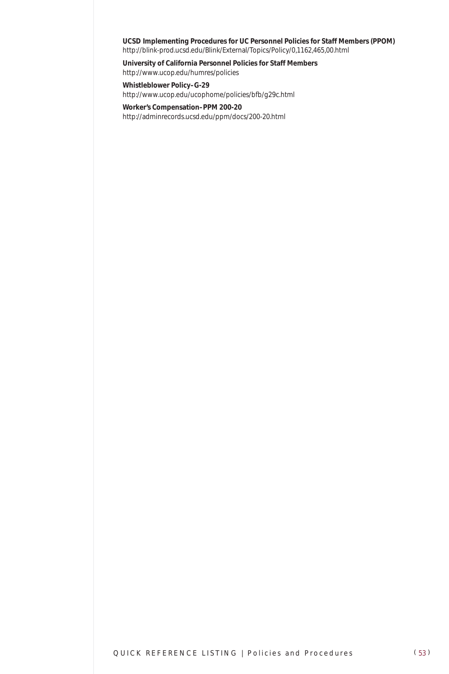#### **UCSD Implementing Procedures for UC Personnel Policies for Staff Members (PPOM)** http://blink-prod.ucsd.edu/Blink/External/Topics/Policy/0,1162,465,00.html

**University of California Personnel Policies for Staff Members** http://www.ucop.edu/humres/policies

**Whistleblower Policy–G-29** http://www.ucop.edu/ucophome/policies/bfb/g29c.html

**Worker's Compensation–PPM 200-20** http://adminrecords.ucsd.edu/ppm/docs/200-20.html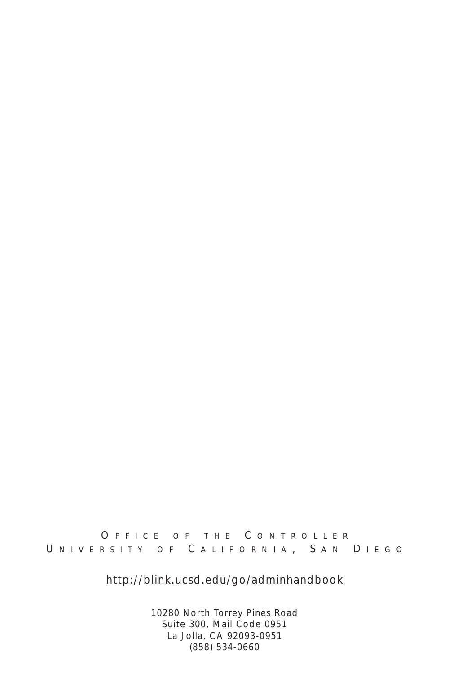#### O FFICE OF THE C ONTROLLER UNIVERSITY OF CALIFORNIA, SAN DIEGO

*http://blink.ucsd.edu/go/adminhandbook*

10280 North Torrey Pines Road Suite 300, Mail Code 0951 La Jolla, CA 92093-0951 (858) 534-0660